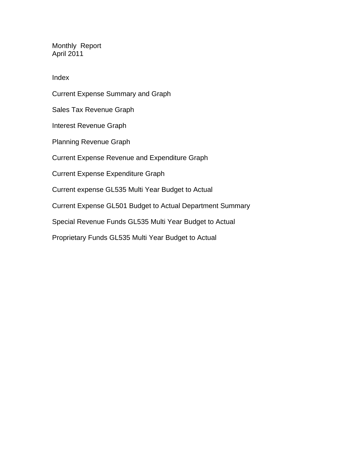Monthly Report April 2011

Index

Current Expense Summary and Graph Sales Tax Revenue Graph Interest Revenue Graph Planning Revenue Graph Current Expense Revenue and Expenditure Graph Current Expense Expenditure Graph Current expense GL535 Multi Year Budget to Actual Current Expense GL501 Budget to Actual Department Summary Special Revenue Funds GL535 Multi Year Budget to Actual Proprietary Funds GL535 Multi Year Budget to Actual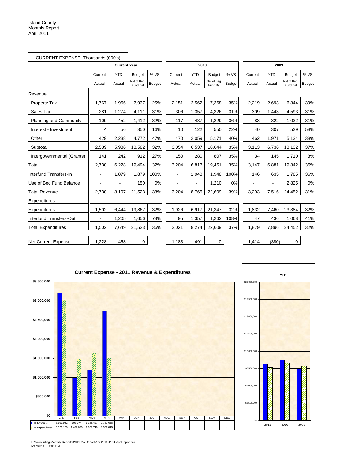|                               | CURRENT EXPENSE Thousands (000's) |                          |                         |               |                |            |                         |               |                |            |                         |               |
|-------------------------------|-----------------------------------|--------------------------|-------------------------|---------------|----------------|------------|-------------------------|---------------|----------------|------------|-------------------------|---------------|
|                               |                                   | <b>Current Year</b>      |                         |               |                | 2010       |                         |               | 2009           |            |                         |               |
|                               | Current                           | <b>YTD</b>               | <b>Budget</b>           | % VS          | Current        | <b>YTD</b> | <b>Budget</b>           | % VS          | Current        | <b>YTD</b> | <b>Budget</b>           | % VS          |
|                               | Actual                            | Actual                   | Net of Beg.<br>Fund Bal | <b>Budget</b> | Actual         | Actual     | Net of Beg.<br>Fund Bal | <b>Budget</b> | Actual         | Actual     | Net of Beg.<br>Fund Bal | <b>Budget</b> |
| Revenue                       |                                   |                          |                         |               |                |            |                         |               |                |            |                         |               |
| <b>Property Tax</b>           | 1,767                             | 1,966                    | 7,937                   | 25%           | 2,151          | 2,562      | 7,368                   | 35%           | 2,219          | 2,693      | 6,844                   | 39%           |
| Sales Tax                     | 281                               | 1,274                    | 4,111                   | 31%           | 306            | 1,357      | 4,326                   | 31%           | 309            | 1,443      | 4,593                   | 31%           |
| <b>Planning and Community</b> | 109                               | 452                      | 1,412                   | 32%           | 117            | 437        | 1,229                   | 36%           | 83             | 322        | 1,032                   | 31%           |
| Interest - Investment         | 4                                 | 56                       | 350                     | 16%           | 10             | 122        | 550                     | 22%           | 40             | 307        | 529                     | 58%           |
| Other                         | 429                               | 2,238                    | 4,772                   | 47%           | 470            | 2,059      | 5.171                   | 40%           | 462            | 1,971      | 5,134                   | 38%           |
| Subtotal                      | 2,589                             | 5,986                    | 18,582                  | 32%           | 3,054          | 6,537      | 18,644                  | 35%           | 3,113          | 6,736      | 18,132                  | 37%           |
| Intergovernmental (Grants)    | 141                               | 242                      | 912                     | 27%           | 150            | 280        | 807                     | 35%           | 34             | 145        | 1,710                   | 8%            |
| Total                         | 2,730                             | 6,228                    | 19,494                  | 32%           | 3,204          | 6,817      | 19,451                  | 35%           | 3,147          | 6,881      | 19,842                  | 35%           |
| Interfund Transfers-In        | $\blacksquare$                    | 1,879                    | 1,879                   | 100%          | $\blacksquare$ | 1,948      | 1,948                   | 100%          | 146            | 635        | 1,785                   | 36%           |
| Use of Beg Fund Balance       | ٠                                 | $\overline{\phantom{a}}$ | 150                     | 0%            |                |            | 1,210                   | 0%            | $\blacksquare$ |            | 2,825                   | 0%            |
| <b>Total Revenue</b>          | 2,730                             | 8,107                    | 21,523                  | 38%           | 3,204          | 8,765      | 22,609                  | 39%           | 3,293          | 7,516      | 24,452                  | 31%           |
| Expenditures                  |                                   |                          |                         |               |                |            |                         |               |                |            |                         |               |
| Expenditures                  | 1,502                             | 6,444                    | 19,867                  | 32%           | 1,926          | 6,917      | 21,347                  | 32%           | 1,832          | 7,460      | 23,384                  | 32%           |
| Interfund Transfers-Out       |                                   | 1,205                    | 1,656                   | 73%           | 95             | 1,357      | 1,262                   | 108%          | 47             | 436        | 1,068                   | 41%           |
| <b>Total Expenditures</b>     | 1,502                             | 7,649                    | 21,523                  | 36%           | 2,021          | 8,274      | 22,609                  | 37%           | 1,879          | 7,896      | 24,452                  | 32%           |
| Net Current Expense           | 1,228                             | 458                      | $\mathbf 0$             |               | 1,183          | 491        | $\mathbf 0$             |               | 1,414          | (380)      | $\mathbf 0$             |               |





H:\Accounting\Monthly Reports\2011 Mo Report\Apr 2011\1104 Apr Report.xls 5/17/2011 4:08 PM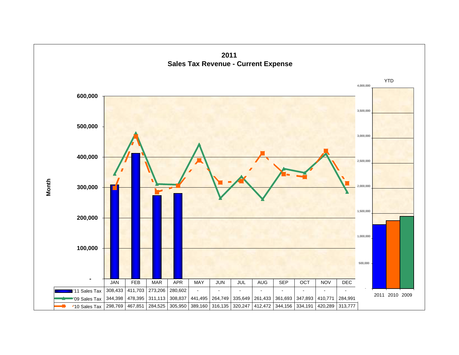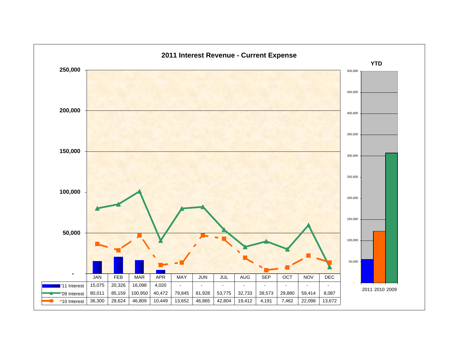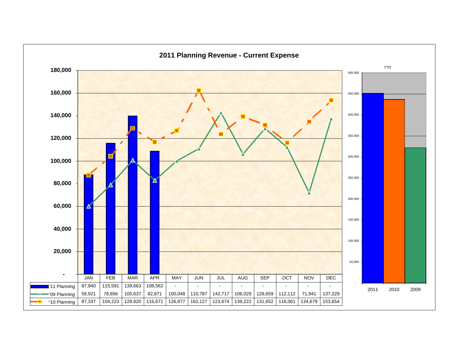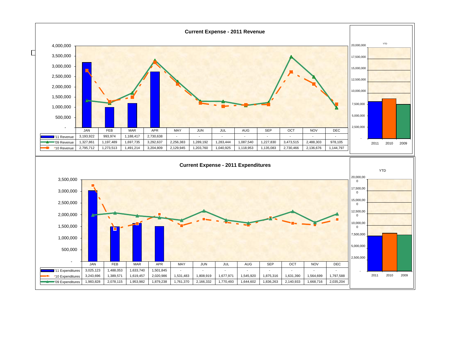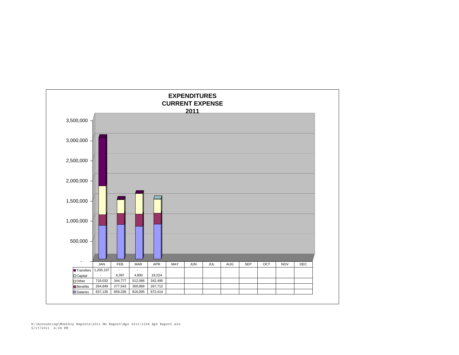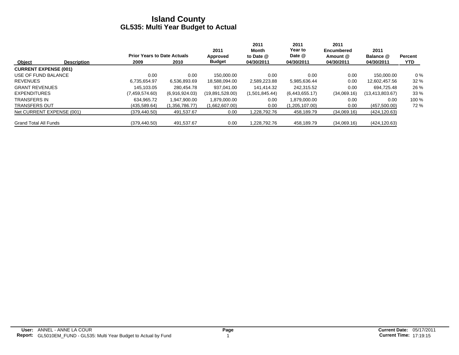|                              |                    |                                    |                | 2011            | 2011<br>Month  | 2011<br>Year to | 2011<br>Encumbered | 2011              |                |
|------------------------------|--------------------|------------------------------------|----------------|-----------------|----------------|-----------------|--------------------|-------------------|----------------|
|                              |                    | <b>Prior Years to Date Actuals</b> |                | Approved        | to Date @      | Date @          | Amount @           | Balance @         | <b>Percent</b> |
| Object                       | <b>Description</b> | 2009                               | 2010           | <b>Budget</b>   | 04/30/2011     | 04/30/2011      | 04/30/2011         | 04/30/2011        | <b>YTD</b>     |
| <b>CURRENT EXPENSE (001)</b> |                    |                                    |                |                 |                |                 |                    |                   |                |
| USE OF FUND BALANCE          |                    | 0.00                               | 0.00           | 150.000.00      | 0.00           | 0.00            | 0.00               | 150.000.00        | $0\%$          |
| <b>REVENUES</b>              |                    | 6.735.654.97                       | 6.536.893.69   | 18,588,094.00   | 2,589,223.88   | 5,985,636.44    | 0.00               | 12,602,457.56     | 32 %           |
| <b>GRANT REVENUES</b>        |                    | 145.103.05                         | 280.454.78     | 937.041.00      | 141.414.32     | 242.315.52      | 0.00               | 694.725.48        | 26 %           |
| <b>EXPENDITURES</b>          |                    | (7,459,574.60)                     | (6,916,924.03) | (19,891,528.00) | (1,501,845.44) | (6,443,655.17)  | (34,069.16)        | (13, 413, 803.67) | 33 %           |
| <b>TRANSFERS IN</b>          |                    | 634.965.72                         | 1.947.900.00   | 1.879.000.00    | 0.00           | 1.879.000.00    | 0.00               | 0.00              | 100 %          |
| <b>TRANSFERS OUT</b>         |                    | (435, 589.64)                      | (1,356,786.77) | (1,662,607.00)  | 0.00           | (1,205,107.00)  | 0.00               | (457,500.00)      | 72 %           |
| Net CURRENT EXPENSE (001)    |                    | (379, 440.50)                      | 491,537.67     | 0.00            | 1.228.792.76   | 458,189.79      | (34,069.16)        | (424, 120.63)     |                |
| <b>Grand Total All Funds</b> |                    | (379, 440.50)                      | 491,537.67     | 0.00            | 1.228.792.76   | 458,189.79      | (34,069.16)        | (424, 120.63)     |                |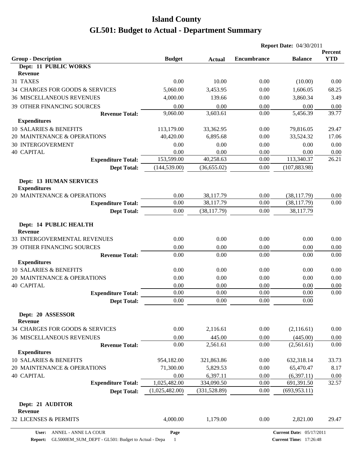|                                                       |                |               | <b>Report Date: 04/30/2011</b> |                                 |                       |
|-------------------------------------------------------|----------------|---------------|--------------------------------|---------------------------------|-----------------------|
| <b>Group - Description</b>                            | <b>Budget</b>  | <b>Actual</b> | <b>Encumbrance</b>             | <b>Balance</b>                  | Percent<br><b>YTD</b> |
| Dept: 11 PUBLIC WORKS                                 |                |               |                                |                                 |                       |
| <b>Revenue</b>                                        |                |               |                                |                                 |                       |
| 31 TAXES                                              | 0.00           | 10.00         | 0.00                           | (10.00)                         | 0.00                  |
| 34 CHARGES FOR GOODS & SERVICES                       | 5,060.00       | 3,453.95      | 0.00                           | 1,606.05                        | 68.25                 |
| <b>36 MISCELLANEOUS REVENUES</b>                      | 4,000.00       | 139.66        | 0.00                           | 3,860.34                        | 3.49                  |
| <b>39 OTHER FINANCING SOURCES</b>                     | 0.00           | 0.00          | 0.00                           | 0.00                            | 0.00                  |
| <b>Revenue Total:</b>                                 | 9,060.00       | 3,603.61      | 0.00                           | 5,456.39                        | 39.77                 |
| <b>Expenditures</b>                                   |                |               |                                |                                 |                       |
| 10 SALARIES & BENEFITS                                | 113,179.00     | 33,362.95     | 0.00                           | 79,816.05                       | 29.47                 |
| 20 MAINTENANCE & OPERATIONS                           | 40,420.00      | 6,895.68      | 0.00                           | 33,524.32                       | 17.06                 |
| <b>30 INTERGOVERMENT</b>                              | 0.00           | 0.00          | 0.00                           | 0.00                            | 0.00                  |
| <b>40 CAPITAL</b>                                     | 0.00           | 0.00          | 0.00                           | 0.00                            | 0.00                  |
| <b>Expenditure Total:</b>                             | 153,599.00     | 40,258.63     | 0.00                           | 113,340.37                      | 26.21                 |
| <b>Dept Total:</b>                                    | (144, 539.00)  | (36, 655.02)  | 0.00                           | (107, 883.98)                   |                       |
| <b>Dept: 13 HUMAN SERVICES</b><br><b>Expenditures</b> |                |               |                                |                                 |                       |
| 20 MAINTENANCE & OPERATIONS                           | 0.00           | 38,117.79     | 0.00                           | (38, 117.79)                    | 0.00                  |
| <b>Expenditure Total:</b>                             | 0.00           | 38,117.79     | 0.00                           | (38, 117.79)                    | 0.00                  |
| <b>Dept Total:</b>                                    | 0.00           | (38, 117.79)  | 0.00                           | 38,117.79                       |                       |
| Dept: 14 PUBLIC HEALTH<br><b>Revenue</b>              |                |               |                                |                                 |                       |
| 33 INTERGOVERMENTAL REVENUES                          | 0.00           | 0.00          | 0.00                           | 0.00                            | 0.00                  |
| 39 OTHER FINANCING SOURCES                            | 0.00           | 0.00          | 0.00                           | 0.00                            | 0.00                  |
| <b>Revenue Total:</b>                                 | 0.00           | 0.00          | 0.00                           | 0.00                            | 0.00                  |
| <b>Expenditures</b>                                   |                |               |                                |                                 |                       |
| 10 SALARIES & BENEFITS                                | 0.00           | 0.00          | 0.00                           | 0.00                            | 0.00                  |
| 20 MAINTENANCE & OPERATIONS                           | 0.00           | 0.00          | 0.00                           | 0.00                            | 0.00                  |
| <b>40 CAPITAL</b>                                     | 0.00           | 0.00          | 0.00                           | 0.00                            | 0.00                  |
| <b>Expenditure Total:</b>                             | 0.00           | 0.00          | 0.00                           | 0.00                            | 0.00                  |
| <b>Dept Total:</b>                                    | 0.00           | 0.00          | 0.00                           | $0.00\,$                        |                       |
| Dept: 20 ASSESSOR<br><b>Revenue</b>                   |                |               |                                |                                 |                       |
| 34 CHARGES FOR GOODS & SERVICES                       | 0.00           | 2,116.61      | 0.00                           | (2,116.61)                      | 0.00                  |
| <b>36 MISCELLANEOUS REVENUES</b>                      | 0.00           | 445.00        | 0.00                           | (445.00)                        | 0.00                  |
| <b>Revenue Total:</b>                                 | 0.00           | 2,561.61      | 0.00                           | (2,561.61)                      | 0.00                  |
| <b>Expenditures</b>                                   |                |               |                                |                                 |                       |
| 10 SALARIES & BENEFITS                                | 954,182.00     | 321,863.86    | 0.00                           | 632,318.14                      | 33.73                 |
| 20 MAINTENANCE & OPERATIONS                           | 71,300.00      | 5,829.53      | 0.00                           | 65,470.47                       | 8.17                  |
| <b>40 CAPITAL</b>                                     | 0.00           | 6,397.11      | 0.00                           | (6,397.11)                      | 0.00                  |
| <b>Expenditure Total:</b>                             | 1,025,482.00   | 334,090.50    | 0.00                           | 691,391.50                      | 32.57                 |
| <b>Dept Total:</b>                                    | (1,025,482.00) | (331, 528.89) | 0.00                           | (693, 953.11)                   |                       |
| Dept: 21 AUDITOR<br><b>Revenue</b>                    |                |               |                                |                                 |                       |
| 32 LICENSES & PERMITS                                 | 4,000.00       | 1,179.00      | 0.00                           | 2,821.00                        | 29.47                 |
| ANNEL - ANNE LA COUR<br>User:                         | Page           |               |                                | <b>Current Date: 05/17/2011</b> |                       |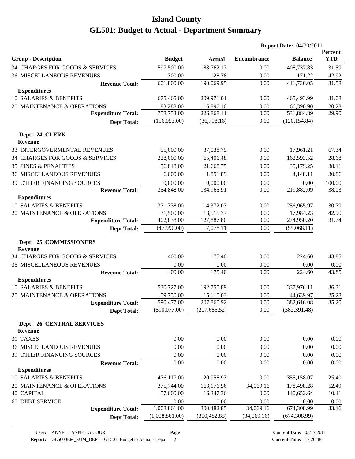|                                                    |                |                             |                    | <b>Report Date: 04/30/2011</b> |                       |
|----------------------------------------------------|----------------|-----------------------------|--------------------|--------------------------------|-----------------------|
| <b>Group - Description</b>                         | <b>Budget</b>  | <b>Actual</b>               | <b>Encumbrance</b> | <b>Balance</b>                 | Percent<br><b>YTD</b> |
| 34 CHARGES FOR GOODS & SERVICES                    | 597,500.00     | 188,762.17                  | 0.00               | 408,737.83                     | 31.59                 |
| <b>36 MISCELLANEOUS REVENUES</b>                   | 300.00         | 128.78                      | 0.00               | 171.22                         | 42.92                 |
| <b>Revenue Total:</b>                              | 601,800.00     | 190,069.95                  | 0.00               | 411,730.05                     | 31.58                 |
| <b>Expenditures</b>                                |                |                             |                    |                                |                       |
| 10 SALARIES & BENEFITS                             | 675,465.00     | 209,971.01                  | 0.00               | 465,493.99                     | 31.08                 |
| 20 MAINTENANCE & OPERATIONS                        | 83,288.00      | 16,897.10                   | 0.00               | 66,390.90                      | 20.28                 |
| <b>Expenditure Total:</b>                          | 758,753.00     | 226,868.11                  | 0.00               | 531,884.89                     | 29.90                 |
| <b>Dept Total:</b>                                 | (156,953.00)   | (36,798.16)                 | 0.00               | (120, 154.84)                  |                       |
| Dept: 24 CLERK<br><b>Revenue</b>                   |                |                             |                    |                                |                       |
| 33 INTERGOVERMENTAL REVENUES                       | 55,000.00      | 37,038.79                   | 0.00               | 17,961.21                      | 67.34                 |
| 34 CHARGES FOR GOODS & SERVICES                    | 228,000.00     | 65,406.48                   | 0.00               | 162,593.52                     | 28.68                 |
| 35 FINES & PENALTIES                               | 56,848.00      | 21,668.75                   | 0.00               | 35,179.25                      | 38.11                 |
| <b>36 MISCELLANEOUS REVENUES</b>                   | 6,000.00       | 1,851.89                    | 0.00               | 4,148.11                       | 30.86                 |
| 39 OTHER FINANCING SOURCES                         | 9,000.00       | 9,000.00                    | 0.00               | 0.00                           | 100.00                |
| <b>Revenue Total:</b>                              | 354,848.00     | 134,965.91                  | 0.00               | 219,882.09                     | 38.03                 |
| <b>Expenditures</b>                                |                |                             |                    |                                |                       |
| 10 SALARIES & BENEFITS                             | 371,338.00     | 114,372.03                  | 0.00               | 256,965.97                     | 30.79                 |
| 20 MAINTENANCE & OPERATIONS                        | 31,500.00      | 13,515.77                   | 0.00               | 17,984.23                      | 42.90                 |
| <b>Expenditure Total:</b>                          | 402,838.00     | 127,887.80                  | 0.00               | 274,950.20                     | 31.74                 |
| <b>Dept Total:</b>                                 | (47,990.00)    | 7,078.11                    | 0.00               | (55,068.11)                    |                       |
| Dept: 25 COMMISSIONERS<br><b>Revenue</b>           |                |                             |                    |                                |                       |
| 34 CHARGES FOR GOODS & SERVICES                    | 400.00         | 175.40                      | 0.00               | 224.60                         | 43.85                 |
| <b>36 MISCELLANEOUS REVENUES</b>                   | 0.00           | 0.00                        | 0.00               | 0.00                           | 0.00                  |
| <b>Revenue Total:</b>                              | 400.00         | 175.40                      | 0.00               | 224.60                         | 43.85                 |
| <b>Expenditures</b>                                |                |                             |                    |                                |                       |
| 10 SALARIES & BENEFITS                             | 530,727.00     | 192,750.89                  | 0.00               | 337,976.11                     | 36.31                 |
| 20 MAINTENANCE & OPERATIONS                        | 59,750.00      | 15,110.03                   | 0.00               | 44,639.97                      | 25.28                 |
| <b>Expenditure Total:</b>                          | 590,477.00     | 207,860.92<br>(207, 685.52) | $0.00\,$           | 382,616.08<br>(382, 391.48)    | 35.20                 |
| <b>Dept Total:</b>                                 | (590,077.00)   |                             | 0.00               |                                |                       |
| <b>Dept: 26 CENTRAL SERVICES</b><br><b>Revenue</b> |                |                             |                    |                                |                       |
| 31 TAXES                                           | 0.00           | 0.00                        | 0.00               | 0.00                           | 0.00                  |
| <b>36 MISCELLANEOUS REVENUES</b>                   | 0.00           | 0.00                        | 0.00               | 0.00                           | 0.00                  |
| 39 OTHER FINANCING SOURCES                         | 0.00           | 0.00                        | 0.00               | 0.00                           | 0.00                  |
| <b>Revenue Total:</b>                              | 0.00           | 0.00                        | 0.00               | 0.00                           | 0.00                  |
| <b>Expenditures</b>                                |                |                             |                    |                                |                       |
| 10 SALARIES & BENEFITS                             | 476,117.00     | 120,958.93                  | 0.00               | 355,158.07                     | 25.40                 |
| 20 MAINTENANCE & OPERATIONS                        | 375,744.00     | 163,176.56                  | 34,069.16          | 178,498.28                     | 52.49                 |
| <b>40 CAPITAL</b>                                  | 157,000.00     | 16,347.36                   | 0.00               | 140,652.64                     | 10.41                 |
| 60 DEBT SERVICE                                    | 0.00           | 0.00                        | 0.00               | 0.00                           | 0.00                  |
| <b>Expenditure Total:</b>                          | 1,008,861.00   | 300,482.85                  | 34,069.16          | 674,308.99                     | 33.16                 |
| <b>Dept Total:</b>                                 | (1,008,861.00) | (300, 482.85)               | (34,069.16)        | (674, 308.99)                  |                       |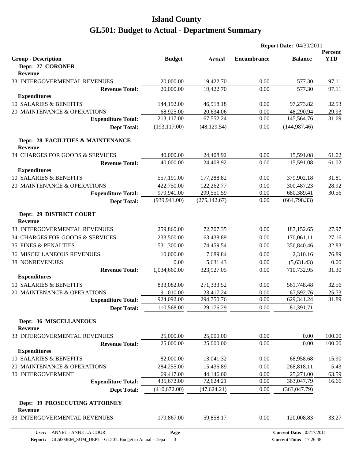|                                                     |               |               |                    | <b>Report Date: 04/30/2011</b> |                       |
|-----------------------------------------------------|---------------|---------------|--------------------|--------------------------------|-----------------------|
| <b>Group - Description</b>                          | <b>Budget</b> |               | <b>Encumbrance</b> | <b>Balance</b>                 | Percent<br><b>YTD</b> |
| Dept: 27 CORONER                                    |               | <b>Actual</b> |                    |                                |                       |
| Revenue                                             |               |               |                    |                                |                       |
| 33 INTERGOVERMENTAL REVENUES                        | 20,000.00     | 19,422.70     | 0.00               | 577.30                         | 97.11                 |
| <b>Revenue Total:</b>                               | 20,000.00     | 19,422.70     | 0.00               | 577.30                         | 97.11                 |
| <b>Expenditures</b>                                 |               |               |                    |                                |                       |
| 10 SALARIES & BENEFITS                              | 144,192.00    | 46,918.18     | 0.00               | 97,273.82                      | 32.53                 |
| 20 MAINTENANCE & OPERATIONS                         | 68,925.00     | 20,634.06     | 0.00               | 48,290.94                      | 29.93                 |
| <b>Expenditure Total:</b>                           | 213,117.00    | 67,552.24     | 0.00               | 145,564.76                     | 31.69                 |
| <b>Dept Total:</b>                                  | (193, 117.00) | (48, 129.54)  | 0.00               | (144, 987.46)                  |                       |
| Dept: 28 FACILITIES & MAINTENANCE<br><b>Revenue</b> |               |               |                    |                                |                       |
| 34 CHARGES FOR GOODS & SERVICES                     | 40,000.00     | 24,408.92     | 0.00               | 15,591.08                      | 61.02                 |
| <b>Revenue Total:</b>                               | 40,000.00     | 24,408.92     | 0.00               | 15,591.08                      | 61.02                 |
| <b>Expenditures</b>                                 |               |               |                    |                                |                       |
| <b>10 SALARIES &amp; BENEFITS</b>                   | 557,191.00    | 177,288.82    | 0.00               | 379,902.18                     | 31.81                 |
| 20 MAINTENANCE & OPERATIONS                         | 422,750.00    | 122,262.77    | 0.00               | 300,487.23                     | 28.92                 |
| <b>Expenditure Total:</b>                           | 979,941.00    | 299,551.59    | 0.00               | 680,389.41                     | 30.56                 |
| <b>Dept Total:</b>                                  | (939, 941.00) | (275, 142.67) | 0.00               | (664, 798.33)                  |                       |
| Dept: 29 DISTRICT COURT<br><b>Revenue</b>           |               |               |                    |                                |                       |
| 33 INTERGOVERMENTAL REVENUES                        | 259,860.00    | 72,707.35     | 0.00               | 187, 152.65                    | 27.97                 |
| 34 CHARGES FOR GOODS & SERVICES                     | 233,500.00    | 63,438.89     | 0.00               | 170,061.11                     | 27.16                 |
| <b>35 FINES &amp; PENALTIES</b>                     | 531,300.00    | 174,459.54    | 0.00               | 356,840.46                     | 32.83                 |
| <b>36 MISCELLANEOUS REVENUES</b>                    | 10,000.00     | 7,689.84      | 0.00               | 2,310.16                       | 76.89                 |
| <b>38 NONREVENUES</b>                               | 0.00          | 5,631.43      | 0.00               | (5,631.43)                     | 0.00                  |
| <b>Revenue Total:</b>                               | 1,034,660.00  | 323,927.05    | 0.00               | 710,732.95                     | 31.30                 |
| <b>Expenditures</b>                                 |               |               |                    |                                |                       |
| 10 SALARIES & BENEFITS                              | 833,082.00    | 271,333.52    | 0.00               | 561,748.48                     | 32.56                 |
| 20 MAINTENANCE & OPERATIONS                         | 91,010.00     | 23,417.24     | 0.00               | 67,592.76                      | 25.73                 |
| <b>Expenditure Total:</b>                           | 924,092.00    | 294,750.76    | 0.00               | 629,341.24                     | 31.89                 |
| <b>Dept Total:</b>                                  | 110,568.00    | 29,176.29     | 0.00               | 81,391.71                      |                       |
| <b>Dept: 36 MISCELLANEOUS</b><br><b>Revenue</b>     |               |               |                    |                                |                       |
| 33 INTERGOVERMENTAL REVENUES                        | 25,000.00     | 25,000.00     | 0.00               | 0.00                           | 100.00                |
| <b>Revenue Total:</b>                               | 25,000.00     | 25,000.00     | 0.00               | 0.00                           | 100.00                |
| <b>Expenditures</b>                                 |               |               |                    |                                |                       |
| 10 SALARIES & BENEFITS                              | 82,000.00     | 13,041.32     | 0.00               | 68,958.68                      | 15.90                 |
| 20 MAINTENANCE & OPERATIONS                         | 284,255.00    | 15,436.89     | 0.00               | 268,818.11                     | 5.43                  |
| 30 INTERGOVERMENT                                   | 69,417.00     | 44,146.00     | 0.00               | 25,271.00                      | 63.59                 |
| <b>Expenditure Total:</b>                           | 435,672.00    | 72,624.21     | 0.00               | 363,047.79                     | 16.66                 |
| <b>Dept Total:</b>                                  | (410,672.00)  | (47, 624.21)  | 0.00               | (363, 047.79)                  |                       |
| Dept: 39 PROSECUTING ATTORNEY<br>Revenue            |               |               |                    |                                |                       |
| 33 INTERGOVERMENTAL REVENUES                        | 179,867.00    | 59,858.17     | 0.00               | 120,008.83                     | 33.27                 |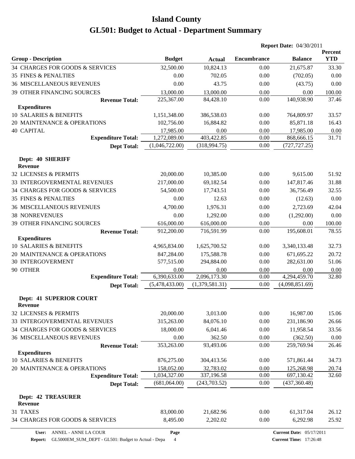|                                              |                |                |                    | <b>Report Date: 04/30/2011</b>  |                       |
|----------------------------------------------|----------------|----------------|--------------------|---------------------------------|-----------------------|
| <b>Group - Description</b>                   | <b>Budget</b>  | <b>Actual</b>  | <b>Encumbrance</b> | <b>Balance</b>                  | Percent<br><b>YTD</b> |
| 34 CHARGES FOR GOODS & SERVICES              | 32,500.00      | 10,824.13      | 0.00               | 21,675.87                       | 33.30                 |
| <b>35 FINES &amp; PENALTIES</b>              | 0.00           | 702.05         | 0.00               | (702.05)                        | 0.00                  |
| <b>36 MISCELLANEOUS REVENUES</b>             | 0.00           | 43.75          | 0.00               | (43.75)                         | 0.00                  |
| 39 OTHER FINANCING SOURCES                   | 13,000.00      | 13,000.00      | 0.00               | 0.00                            | 100.00                |
| <b>Revenue Total:</b>                        | 225,367.00     | 84,428.10      | 0.00               | 140,938.90                      | 37.46                 |
| <b>Expenditures</b>                          |                |                |                    |                                 |                       |
| 10 SALARIES & BENEFITS                       | 1,151,348.00   | 386,538.03     | 0.00               | 764,809.97                      | 33.57                 |
| 20 MAINTENANCE & OPERATIONS                  | 102,756.00     | 16,884.82      | 0.00               | 85,871.18                       | 16.43                 |
| <b>40 CAPITAL</b>                            | 17,985.00      | 0.00           | 0.00               | 17,985.00                       | 0.00                  |
| <b>Expenditure Total:</b>                    | 1,272,089.00   | 403,422.85     | 0.00               | 868,666.15                      | 31.71                 |
| <b>Dept Total:</b>                           | (1,046,722.00) | (318, 994.75)  | 0.00               | (727, 727.25)                   |                       |
| Dept: 40 SHERIFF<br><b>Revenue</b>           |                |                |                    |                                 |                       |
| 32 LICENSES & PERMITS                        | 20,000.00      | 10,385.00      | 0.00               | 9,615.00                        | 51.92                 |
| 33 INTERGOVERMENTAL REVENUES                 | 217,000.00     | 69,182.54      | 0.00               | 147,817.46                      | 31.88                 |
| 34 CHARGES FOR GOODS & SERVICES              | 54,500.00      | 17,743.51      | 0.00               | 36,756.49                       | 32.55                 |
| <b>35 FINES &amp; PENALTIES</b>              | 0.00           | 12.63          | 0.00               | (12.63)                         | 0.00                  |
| <b>36 MISCELLANEOUS REVENUES</b>             | 4,700.00       | 1,976.31       | 0.00               | 2,723.69                        | 42.04                 |
| <b>38 NONREVENUES</b>                        | 0.00           | 1,292.00       | 0.00               | (1,292.00)                      | 0.00                  |
| 39 OTHER FINANCING SOURCES                   | 616,000.00     | 616,000.00     | 0.00               | 0.00                            | 100.00                |
| <b>Revenue Total:</b>                        | 912,200.00     | 716,591.99     | 0.00               | 195,608.01                      | 78.55                 |
| <b>Expenditures</b>                          |                |                |                    |                                 |                       |
| 10 SALARIES & BENEFITS                       | 4,965,834.00   | 1,625,700.52   | 0.00               | 3,340,133.48                    | 32.73                 |
| 20 MAINTENANCE & OPERATIONS                  | 847,284.00     | 175,588.78     | 0.00               | 671,695.22                      | 20.72                 |
| <b>30 INTERGOVERMENT</b>                     | 577,515.00     | 294,884.00     | 0.00               | 282,631.00                      | 51.06                 |
| 90 OTHER                                     | 0.00           | 0.00           | 0.00               | 0.00                            | 0.00                  |
| <b>Expenditure Total:</b>                    | 6,390,633.00   | 2,096,173.30   | 0.00               | 4,294,459.70                    | 32.80                 |
| <b>Dept Total:</b>                           | (5,478,433.00) | (1,379,581.31) | 0.00               | (4,098,851.69)                  |                       |
| <b>Dept: 41 SUPERIOR COURT</b>               |                |                |                    |                                 |                       |
| <b>Revenue</b>                               |                |                |                    |                                 |                       |
| 32 LICENSES & PERMITS                        | 20,000.00      | 3,013.00       | 0.00               | 16,987.00                       | 15.06                 |
| 33 INTERGOVERMENTAL REVENUES                 | 315,263.00     | 84,076.10      | 0.00               | 231,186.90                      | 26.66                 |
| 34 CHARGES FOR GOODS & SERVICES              | 18,000.00      | 6,041.46       | 0.00               | 11,958.54                       | 33.56                 |
| 36 MISCELLANEOUS REVENUES                    | 0.00           | 362.50         | 0.00               | (362.50)                        | 0.00                  |
| <b>Revenue Total:</b><br><b>Expenditures</b> | 353,263.00     | 93,493.06      | 0.00               | 259,769.94                      | 26.46                 |
| 10 SALARIES & BENEFITS                       | 876,275.00     | 304,413.56     | 0.00               | 571,861.44                      | 34.73                 |
| 20 MAINTENANCE & OPERATIONS                  | 158,052.00     | 32,783.02      | 0.00               | 125,268.98                      | 20.74                 |
| <b>Expenditure Total:</b>                    | 1,034,327.00   | 337,196.58     | 0.00               | 697,130.42                      | 32.60                 |
| <b>Dept Total:</b>                           | (681,064.00)   | (243, 703.52)  | 0.00               | (437, 360.48)                   |                       |
| <b>Dept: 42 TREASURER</b>                    |                |                |                    |                                 |                       |
| Revenue                                      |                |                |                    |                                 |                       |
| 31 TAXES                                     | 83,000.00      | 21,682.96      | 0.00               | 61,317.04                       | 26.12                 |
| 34 CHARGES FOR GOODS & SERVICES              | 8,495.00       | 2,202.02       | 0.00               | 6,292.98                        | 25.92                 |
| ANNEL - ANNE LA COUR<br>User:                | Page           |                |                    | <b>Current Date: 05/17/2011</b> |                       |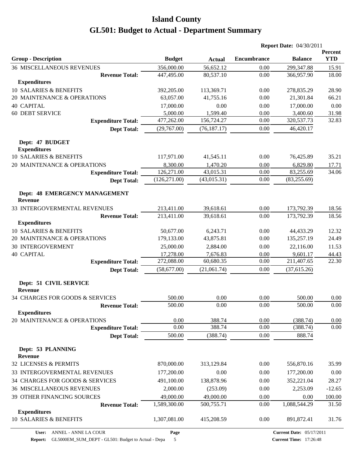|                                                 |               |               | <b>Report Date: 04/30/2011</b> |                |                       |
|-------------------------------------------------|---------------|---------------|--------------------------------|----------------|-----------------------|
| <b>Group - Description</b>                      | <b>Budget</b> | <b>Actual</b> | <b>Encumbrance</b>             | <b>Balance</b> | Percent<br><b>YTD</b> |
| <b>36 MISCELLANEOUS REVENUES</b>                | 356,000.00    | 56,652.12     | 0.00                           | 299,347.88     | 15.91                 |
| <b>Revenue Total:</b>                           | 447,495.00    | 80,537.10     | 0.00                           | 366,957.90     | 18.00                 |
| <b>Expenditures</b>                             |               |               |                                |                |                       |
| 10 SALARIES & BENEFITS                          | 392,205.00    | 113,369.71    | 0.00                           | 278,835.29     | 28.90                 |
| 20 MAINTENANCE & OPERATIONS                     | 63,057.00     | 41,755.16     | 0.00                           | 21,301.84      | 66.21                 |
| <b>40 CAPITAL</b>                               | 17,000.00     | 0.00          | 0.00                           | 17,000.00      | 0.00                  |
| <b>60 DEBT SERVICE</b>                          | 5,000.00      | 1,599.40      | 0.00                           | 3,400.60       | 31.98                 |
| <b>Expenditure Total:</b>                       | 477,262.00    | 156,724.27    | 0.00                           | 320,537.73     | 32.83                 |
| <b>Dept Total:</b>                              | (29,767.00)   | (76, 187.17)  | 0.00                           | 46,420.17      |                       |
| Dept: 47 BUDGET<br><b>Expenditures</b>          |               |               |                                |                |                       |
| 10 SALARIES & BENEFITS                          | 117,971.00    | 41,545.11     | 0.00                           | 76,425.89      | 35.21                 |
| 20 MAINTENANCE & OPERATIONS                     | 8,300.00      | 1,470.20      | 0.00                           | 6,829.80       | 17.71                 |
| <b>Expenditure Total:</b>                       | 126,271.00    | 43,015.31     | 0.00                           | 83,255.69      | 34.06                 |
| <b>Dept Total:</b>                              | (126, 271.00) | (43, 015.31)  | 0.00                           | (83, 255.69)   |                       |
| Dept: 48 EMERGENCY MANAGEMENT<br><b>Revenue</b> |               |               |                                |                |                       |
| 33 INTERGOVERMENTAL REVENUES                    | 213,411.00    | 39,618.61     | 0.00                           | 173,792.39     | 18.56                 |
| <b>Revenue Total:</b>                           | 213,411.00    | 39,618.61     | 0.00                           | 173,792.39     | 18.56                 |
| <b>Expenditures</b>                             |               |               |                                |                |                       |
| 10 SALARIES & BENEFITS                          | 50,677.00     | 6,243.71      | 0.00                           | 44,433.29      | 12.32                 |
| 20 MAINTENANCE & OPERATIONS                     | 179,133.00    | 43,875.81     | 0.00                           | 135,257.19     | 24.49                 |
| <b>30 INTERGOVERMENT</b>                        | 25,000.00     | 2,884.00      | 0.00                           | 22,116.00      | 11.53                 |
| <b>40 CAPITAL</b>                               | 17,278.00     | 7,676.83      | 0.00                           | 9,601.17       | 44.43                 |
| <b>Expenditure Total:</b>                       | 272,088.00    | 60,680.35     | 0.00                           | 211,407.65     | 22.30                 |
| <b>Dept Total:</b>                              | (58,677.00)   | (21,061.74)   | 0.00                           | (37,615.26)    |                       |
| Dept: 51 CIVIL SERVICE<br><b>Revenue</b>        |               |               |                                |                |                       |
| 34 CHARGES FOR GOODS & SERVICES                 | 500.00        | 0.00          | 0.00                           | 500.00         | 0.00                  |
| <b>Revenue Total:</b>                           | 500.00        | 0.00          | 0.00                           | 500.00         | 0.00                  |
| <b>Expenditures</b>                             |               |               |                                |                |                       |
| 20 MAINTENANCE & OPERATIONS                     | 0.00          | 388.74        | 0.00                           | (388.74)       | 0.00                  |
| <b>Expenditure Total:</b>                       | 0.00          | 388.74        | 0.00                           | (388.74)       | 0.00                  |
| <b>Dept Total:</b>                              | 500.00        | (388.74)      | 0.00                           | 888.74         |                       |
| Dept: 53 PLANNING<br><b>Revenue</b>             |               |               |                                |                |                       |
| 32 LICENSES & PERMITS                           | 870,000.00    | 313,129.84    | 0.00                           | 556,870.16     | 35.99                 |
| 33 INTERGOVERMENTAL REVENUES                    | 177,200.00    | 0.00          | 0.00                           | 177,200.00     | 0.00                  |
| 34 CHARGES FOR GOODS & SERVICES                 | 491,100.00    | 138,878.96    | 0.00                           | 352,221.04     | 28.27                 |
| <b>36 MISCELLANEOUS REVENUES</b>                | 2,000.00      | (253.09)      | 0.00                           | 2,253.09       | $-12.65$              |
| 39 OTHER FINANCING SOURCES                      | 49,000.00     | 49,000.00     | 0.00                           | 0.00           | 100.00                |
| <b>Revenue Total:</b>                           | 1,589,300.00  | 500,755.71    | 0.00                           | 1,088,544.29   | 31.50                 |
| <b>Expenditures</b>                             |               |               |                                |                |                       |
| 10 SALARIES & BENEFITS                          | 1,307,081.00  | 415,208.59    | 0.00                           | 891,872.41     | 31.76                 |

**Report:** GL5000EM\_SUM\_DEPT - GL501: Budget to Actual - Depa 5

**Page**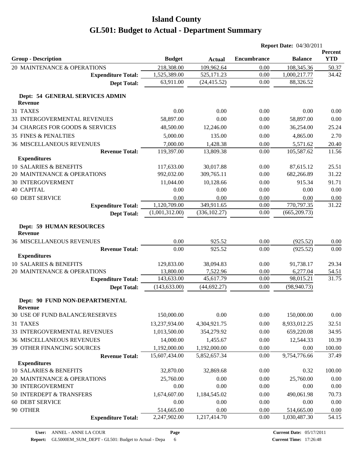|                                                   |                |               | <b>Report Date: 04/30/2011</b> |                |                       |  |  |
|---------------------------------------------------|----------------|---------------|--------------------------------|----------------|-----------------------|--|--|
| <b>Group - Description</b>                        | <b>Budget</b>  | <b>Actual</b> | <b>Encumbrance</b>             | <b>Balance</b> | Percent<br><b>YTD</b> |  |  |
| 20 MAINTENANCE & OPERATIONS                       | 218,308.00     | 109,962.64    | 0.00                           | 108,345.36     | 50.37                 |  |  |
| <b>Expenditure Total:</b>                         | 1,525,389.00   | 525,171.23    | 0.00                           | 1,000,217.77   | 34.42                 |  |  |
| <b>Dept Total:</b>                                | 63,911.00      | (24, 415.52)  | 0.00                           | 88,326.52      |                       |  |  |
| Dept: 54 GENERAL SERVICES ADMIN<br><b>Revenue</b> |                |               |                                |                |                       |  |  |
| 31 TAXES                                          | 0.00           | 0.00          | 0.00                           | 0.00           | 0.00                  |  |  |
| 33 INTERGOVERMENTAL REVENUES                      | 58,897.00      | 0.00          | 0.00                           | 58,897.00      | 0.00                  |  |  |
| 34 CHARGES FOR GOODS & SERVICES                   | 48,500.00      | 12,246.00     | 0.00                           | 36,254.00      | 25.24                 |  |  |
| <b>35 FINES &amp; PENALTIES</b>                   | 5,000.00       | 135.00        | 0.00                           | 4,865.00       | 2.70                  |  |  |
| <b>36 MISCELLANEOUS REVENUES</b>                  | 7,000.00       | 1,428.38      | 0.00                           | 5,571.62       | 20.40                 |  |  |
| <b>Revenue Total:</b>                             | 119,397.00     | 13,809.38     | 0.00                           | 105,587.62     | 11.56                 |  |  |
| <b>Expenditures</b>                               |                |               |                                |                |                       |  |  |
| 10 SALARIES & BENEFITS                            | 117,633.00     | 30,017.88     | 0.00                           | 87,615.12      | 25.51                 |  |  |
| 20 MAINTENANCE & OPERATIONS                       | 992,032.00     | 309,765.11    | 0.00                           | 682,266.89     | 31.22                 |  |  |
| <b>30 INTERGOVERMENT</b>                          | 11,044.00      | 10,128.66     | 0.00                           | 915.34         | 91.71                 |  |  |
| <b>40 CAPITAL</b>                                 | 0.00           | 0.00          | 0.00                           | 0.00           | 0.00                  |  |  |
| <b>60 DEBT SERVICE</b>                            | 0.00           | 0.00          | 0.00                           | 0.00           | 0.00                  |  |  |
| <b>Expenditure Total:</b>                         | 1,120,709.00   | 349,911.65    | 0.00                           | 770,797.35     | 31.22                 |  |  |
| <b>Dept Total:</b>                                | (1,001,312.00) | (336, 102.27) | 0.00                           | (665, 209.73)  |                       |  |  |
| <b>Dept: 59 HUMAN RESOURCES</b><br>Revenue        |                |               |                                |                |                       |  |  |
| <b>36 MISCELLANEOUS REVENUES</b>                  | 0.00           | 925.52        | 0.00                           | (925.52)       | 0.00                  |  |  |
| <b>Revenue Total:</b>                             | 0.00           | 925.52        | 0.00                           | (925.52)       | 0.00                  |  |  |
| <b>Expenditures</b>                               |                |               |                                |                |                       |  |  |
| 10 SALARIES & BENEFITS                            | 129,833.00     | 38,094.83     | 0.00                           | 91,738.17      | 29.34                 |  |  |
| 20 MAINTENANCE & OPERATIONS                       | 13,800.00      | 7,522.96      | 0.00                           | 6,277.04       | 54.51                 |  |  |
| <b>Expenditure Total:</b>                         | 143,633.00     | 45,617.79     | 0.00                           | 98,015.21      | 31.75                 |  |  |
| <b>Dept Total:</b>                                | (143, 633.00)  | (44, 692.27)  | 0.00                           | (98, 940.73)   |                       |  |  |
| Dept: 90 FUND NON-DEPARTMENTAL                    |                |               |                                |                |                       |  |  |
| <b>Revenue</b><br>30 USE OF FUND BALANCE/RESERVES | 150,000.00     | 0.00          | 0.00                           | 150,000.00     | 0.00                  |  |  |
| 31 TAXES                                          | 13,237,934.00  | 4,304,921.75  | 0.00                           | 8,933,012.25   | 32.51                 |  |  |
| 33 INTERGOVERMENTAL REVENUES                      | 1,013,500.00   | 354,279.92    | 0.00                           | 659,220.08     | 34.95                 |  |  |
| <b>36 MISCELLANEOUS REVENUES</b>                  | 14,000.00      | 1,455.67      | 0.00                           | 12,544.33      | 10.39                 |  |  |
| 39 OTHER FINANCING SOURCES                        | 1,192,000.00   | 1,192,000.00  | 0.00                           | 0.00           | 100.00                |  |  |
| <b>Revenue Total:</b>                             | 15,607,434.00  | 5,852,657.34  | 0.00                           | 9,754,776.66   | 37.49                 |  |  |
| <b>Expenditures</b>                               |                |               |                                |                |                       |  |  |
| 10 SALARIES & BENEFITS                            | 32,870.00      | 32,869.68     | 0.00                           | 0.32           | 100.00                |  |  |
| 20 MAINTENANCE & OPERATIONS                       | 25,760.00      | 0.00          | 0.00                           | 25,760.00      | 0.00                  |  |  |
| <b>30 INTERGOVERMENT</b>                          | 0.00           | 0.00          | 0.00                           | 0.00           | 0.00                  |  |  |
| 50 INTERDEPT & TRANSFERS                          | 1,674,607.00   | 1,184,545.02  | 0.00                           | 490,061.98     | 70.73                 |  |  |
| <b>60 DEBT SERVICE</b>                            | 0.00           | 0.00          | 0.00                           | 0.00           | 0.00                  |  |  |
| 90 OTHER                                          | 514,665.00     | 0.00          | 0.00                           | 514,665.00     | 0.00                  |  |  |
| <b>Expenditure Total:</b>                         | 2,247,902.00   | 1,217,414.70  | 0.00                           | 1,030,487.30   | 54.15                 |  |  |
|                                                   |                |               |                                |                |                       |  |  |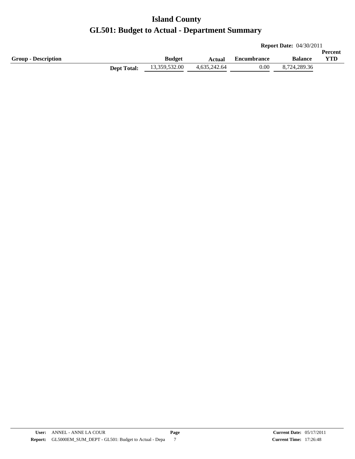|                            |                    |               |              |             | <b>Report Date: 04/30/2011</b> |                |
|----------------------------|--------------------|---------------|--------------|-------------|--------------------------------|----------------|
|                            |                    |               |              |             |                                | <b>Percent</b> |
| <b>Group - Description</b> |                    | <b>Budget</b> | Actual       | Encumbrance | <b>Balance</b>                 | YTD            |
|                            | <b>Dept Total:</b> | 13,359,532.00 | 4,635,242.64 | 0.00        | 8,724,289.36                   |                |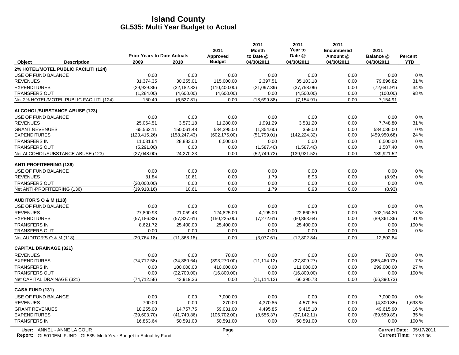|                                                                                                  | <b>Prior Years to Date Actuals</b> |               | 2011<br>Approved | 2011<br><b>Month</b><br>to Date @ | 2011<br>Year to<br>Date @ | 2011<br><b>Encumbered</b><br>Amount @ | 2011<br>Balance @ | <b>Percent</b>                                            |
|--------------------------------------------------------------------------------------------------|------------------------------------|---------------|------------------|-----------------------------------|---------------------------|---------------------------------------|-------------------|-----------------------------------------------------------|
| Object<br><b>Description</b>                                                                     | 2009                               | 2010          | <b>Budget</b>    | 04/30/2011                        | 04/30/2011                | 04/30/2011                            | 04/30/2011        | <b>YTD</b>                                                |
| 2% HOTEL/MOTEL PUBLIC FACILITI (124)                                                             |                                    |               |                  |                                   |                           |                                       |                   |                                                           |
| USE OF FUND BALANCE                                                                              | 0.00                               | 0.00          | 0.00             | 0.00                              | 0.00                      | 0.00                                  | 0.00              | 0%                                                        |
| <b>REVENUES</b>                                                                                  | 31,374.35                          | 30,255.01     | 115,000.00       | 2,397.51                          | 35,103.18                 | 0.00                                  | 79,896.82         | 31 %                                                      |
| <b>EXPENDITURES</b>                                                                              | (29,939.86)                        | (32, 182.82)  | (110,400.00)     | (21,097.39)                       | (37,758.09)               | 0.00                                  | (72,641.91)       | 34 %                                                      |
| <b>TRANSFERS OUT</b>                                                                             | (1,284.00)                         | (4,600.00)    | (4,600.00)       | 0.00                              | (4,500.00)                | 0.00                                  | (100.00)          | 98 %                                                      |
| Net 2% HOTEL/MOTEL PUBLIC FACILITI (124)                                                         | 150.49                             | (6,527.81)    | 0.00             | (18,699.88)                       | (7, 154.91)               | 0.00                                  | 7,154.91          |                                                           |
| <b>ALCOHOL/SUBSTANCE ABUSE (123)</b>                                                             |                                    |               |                  |                                   |                           |                                       |                   |                                                           |
| USE OF FUND BALANCE                                                                              | 0.00                               | 0.00          | 0.00             | 0.00                              | 0.00                      | 0.00                                  | 0.00              | 0%                                                        |
| <b>REVENUES</b>                                                                                  | 25,064.51                          | 3,573.18      | 11,280.00        | 1,991.29                          | 3,531.20                  | 0.00                                  | 7,748.80          | 31 %                                                      |
| <b>GRANT REVENUES</b>                                                                            | 65,562.11                          | 150,061.48    | 584,395.00       | (1,354.60)                        | 359.00                    | 0.00                                  | 584,036.00        | $0\%$                                                     |
| <b>EXPENDITURES</b>                                                                              | (123, 415.26)                      | (158, 247.43) | (602, 175.00)    | (51,799.01)                       | (142, 224.32)             | 0.00                                  | (459, 950.68)     | 24 %                                                      |
| <b>TRANSFERS IN</b>                                                                              | 11,031.64                          | 28,883.00     | 6,500.00         | 0.00                              | 0.00                      | 0.00                                  | 6,500.00          | $0\%$                                                     |
| <b>TRANSFERS OUT</b>                                                                             | (5,291.00)                         | 0.00          | 0.00             | (1,587.40)                        | (1,587.40)                | 0.00                                  | 1,587.40          | $0\%$                                                     |
| Net ALCOHOL/SUBSTANCE ABUSE (123)                                                                | (27,048.00)                        | 24,270.23     | 0.00             | (52,749.72)                       | (139.921.52)              | 0.00                                  | 139,921.52        |                                                           |
| <b>ANTI-PROFITEERING (136)</b>                                                                   |                                    |               |                  |                                   |                           |                                       |                   |                                                           |
| USE OF FUND BALANCE                                                                              | 0.00                               | 0.00          | 0.00             | 0.00                              | 0.00                      | 0.00                                  | 0.00              | 0%                                                        |
| <b>REVENUES</b>                                                                                  | 81.84                              | 10.61         | 0.00             | 1.79                              | 8.93                      | 0.00                                  | (8.93)            | 0%                                                        |
| <b>TRANSFERS OUT</b>                                                                             | (20,000.00)                        | 0.00          | 0.00             | 0.00                              | 0.00                      | 0.00                                  | 0.00              | $0\%$                                                     |
| Net ANTI-PROFITEERING (136)                                                                      | (19,918.16)                        | 10.61         | 0.00             | 1.79                              | 8.93                      | 0.00                                  | (8.93)            |                                                           |
| <b>AUDITOR'S O &amp; M (118)</b>                                                                 |                                    |               |                  |                                   |                           |                                       |                   |                                                           |
| USE OF FUND BALANCE                                                                              | 0.00                               | 0.00          | 0.00             | 0.00                              | 0.00                      | 0.00                                  | 0.00              | $0\%$                                                     |
| <b>REVENUES</b>                                                                                  | 27,800.93                          | 21,059.43     | 124,825.00       | 4,195.00                          | 22,660.80                 | 0.00                                  | 102,164.20        | 18%                                                       |
| <b>EXPENDITURES</b>                                                                              | (57, 186.83)                       | (57, 827.61)  | (150, 225.00)    | (7,272.61)                        | (60, 863.64)              | 0.00                                  | (89, 361.36)      | 41 %                                                      |
| <b>TRANSFERS IN</b>                                                                              | 8,621.72                           | 25,400.00     | 25,400.00        | 0.00                              | 25,400.00                 | 0.00                                  | 0.00              | 100 %                                                     |
| <b>TRANSFERS OUT</b>                                                                             | 0.00                               | 0.00          | 0.00             | 0.00                              | 0.00                      | 0.00                                  | 0.00              | $0\%$                                                     |
| Net AUDITOR'S O & M (118)                                                                        | (20, 764.18)                       | (11, 368.18)  | 0.00             | (3,077.61)                        | (12,802.84)               | 0.00                                  | 12,802.84         |                                                           |
| <b>CAPITAL DRAINAGE (321)</b>                                                                    |                                    |               |                  |                                   |                           |                                       |                   |                                                           |
| <b>REVENUES</b>                                                                                  | 0.00                               | 0.00          | 70.00            | 0.00                              | 0.00                      | 0.00                                  | 70.00             | 0%                                                        |
| <b>EXPENDITURES</b>                                                                              | (74, 712.58)                       | (34, 380.64)  | (393, 270.00)    | (11, 114.12)                      | (27,809.27)               | 0.00                                  | (365, 460.73)     | 7%                                                        |
| <b>TRANSFERS IN</b>                                                                              | 0.00                               | 100,000.00    | 410,000.00       | 0.00                              | 111,000.00                | 0.00                                  | 299,000.00        | 27 %                                                      |
| <b>TRANSFERS OUT</b>                                                                             | 0.00                               | (22,700.00)   | (16,800.00)      | 0.00                              | (16,800.00)               | 0.00                                  | 0.00              | 100 %                                                     |
| Net CAPITAL DRAINAGE (321)                                                                       | (74, 712.58)                       | 42,919.36     | 0.00             | (11, 114.12)                      | 66,390.73                 | 0.00                                  | (66, 390.73)      |                                                           |
| <b>CASA FUND (131)</b>                                                                           |                                    |               |                  |                                   |                           |                                       |                   |                                                           |
| USE OF FUND BALANCE                                                                              | 0.00                               | 0.00          | 7,000.00         | 0.00                              | 0.00                      | 0.00                                  | 7,000.00          | 0%                                                        |
| <b>REVENUES</b>                                                                                  | 700.00                             | 0.00          | 270.00           | 4,370.85                          | 4,570.85                  | 0.00                                  | (4,300.85)        | 1,693 %                                                   |
| <b>GRANT REVENUES</b>                                                                            | 18,255.00                          | 14,757.75     | 59,031.00        | 4,495.85                          | 9,415.10                  | 0.00                                  | 49,615.90         | 16 %                                                      |
| <b>EXPENDITURES</b>                                                                              | (39,603.70)                        | (41,740.86)   | (106, 702.00)    | (8,556.37)                        | (37, 142.11)              | 0.00                                  | (69, 559.89)      | 35 %                                                      |
| <b>TRANSFERS IN</b>                                                                              | 16,863.64                          | 50,591.00     | 50,591.00        | 0.00                              | 50,591.00                 | 0.00                                  | 0.00              | 100 %                                                     |
| User: ANNEL - ANNE LA COUR<br>Report: GL5010EM_FUND - GL535: Multi Year Budget to Actual by Fund |                                    |               | Page<br>1        |                                   |                           |                                       |                   | Current Date: 05/17/2011<br><b>Current Time: 17:33:06</b> |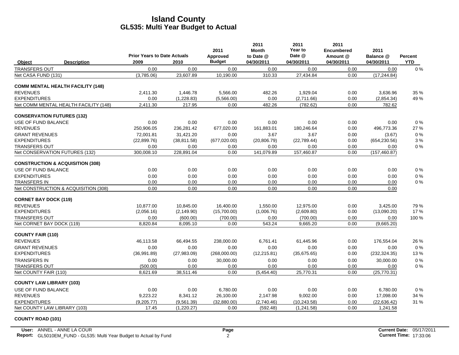| <b>Budget</b><br>2009<br>04/30/2011<br>04/30/2011<br>04/30/2011<br><b>YTD</b><br><b>Description</b><br>2010<br>04/30/2011<br>Object<br><b>TRANSFERS OUT</b><br>0.00<br>0.00<br>0.00<br>0.00<br>0.00<br>0.00<br>$0\%$<br>0.00<br>(3,785.06)<br>23,607.89<br>10,190.00<br>310.33<br>27,434.84<br>0.00<br>(17, 244.84)<br>Net CASA FUND (131)<br><b>COMM MENTAL HEALTH FACILITY (148)</b><br>2,411.30<br>1,446.78<br>5,566.00<br>482.26<br>1,929.04<br>0.00<br>3,636.96<br>35 %<br><b>EXPENDITURES</b><br>0.00<br>(2,711.66)<br>(1,228.83)<br>(5,566.00)<br>0.00<br>0.00<br>(2,854.34)<br>49 %<br>Net COMM MENTAL HEALTH FACILITY (148)<br>2,411.30<br>482.26<br>0.00<br>217.95<br>0.00<br>(782.62)<br>782.62<br><b>CONSERVATION FUTURES (132)</b><br>0%<br>USE OF FUND BALANCE<br>0.00<br>0.00<br>0.00<br>0.00<br>0.00<br>0.00<br>0.00<br>250,906.05<br>236,281.42<br>677,020.00<br>161,883.01<br>180,246.64<br>0.00<br>496,773.36<br>27 %<br>72.001.81<br>0%<br><b>GRANT REVENUES</b><br>31,421.20<br>0.00<br>3.67<br>3.67<br>0.00<br>(3.67)<br><b>EXPENDITURES</b><br>(22, 899.76)<br>(677, 020.00)<br>(20, 806.79)<br>(22,789.44)<br>0.00<br>3%<br>(38, 811.58)<br>(654, 230.56)<br>0.00<br>0%<br><b>TRANSFERS OUT</b><br>0.00<br>0.00<br>0.00<br>0.00<br>0.00<br>0.00<br>Net CONSERVATION FUTURES (132)<br>300,008.10<br>0.00<br>141,079.89<br>157,460.87<br>228,891.04<br>0.00<br>(157, 460.87)<br><b>CONSTRUCTION &amp; ACQUISITION (308)</b><br>0%<br>USE OF FUND BALANCE<br>0.00<br>0.00<br>0.00<br>0.00<br>0.00<br>0.00<br>0.00<br><b>EXPENDITURES</b><br>0.00<br>0.00<br>0.00<br>0.00<br>$0\ \%$<br>0.00<br>0.00<br>0.00<br>0.00<br>0.00<br>0.00<br>0.00<br>$0\%$<br>0.00<br>0.00<br>0.00<br>Net CONSTRUCTION & ACQUISITION (308)<br>0.00<br>0.00<br>0.00<br>0.00<br>0.00<br>0.00<br>0.00<br><b>CORNET BAY DOCK (119)</b><br>10.877.00<br>10.845.00<br>16.400.00<br>1,550.00<br>12.975.00<br>0.00<br>3.425.00<br>79%<br><b>EXPENDITURES</b><br>(2,056.16)<br>(2, 149.90)<br>(1,006.76)<br>(2,609.80)<br>0.00<br>(13,090.20)<br>17%<br>(15,700.00)<br>(700.00)<br>0.00<br>100 %<br><b>TRANSFERS OUT</b><br>0.00<br>(600.00)<br>(700.00)<br>0.00<br>0.00<br>Net CORNET BAY DOCK (119)<br>8,820.84<br>543.24<br>8,095.10<br>0.00<br>9,665.20<br>0.00<br>(9,665.20)<br><b>COUNTY FAIR (110)</b><br>238,000.00<br>26 %<br>46,113.58<br>66,494.55<br>6.761.41<br>61.445.96<br>0.00<br>176,554.04<br><b>GRANT REVENUES</b><br>0.00<br>0.00<br>0.00<br>0.00<br>0.00<br>0.00<br>0.00<br>0%<br><b>EXPENDITURES</b><br>(12, 215.81)<br>13%<br>(36,991.89)<br>(27,983.09)<br>(268,000.00)<br>(35,675.65)<br>0.00<br>(232, 324.35)<br>0.00<br>30,000.00<br>0.00<br>0.00<br>30,000.00<br>0%<br>0.00<br>0.00<br>0.00<br>0.00<br>0.00<br>0%<br><b>TRANSFERS OUT</b><br>(500.00)<br>0.00<br>0.00<br>0.00<br>0.00<br>0.00<br>8,621.69<br>38,511.46<br>(5,454.40)<br>25,770.31<br>(25,770.31)<br>Net COUNTY FAIR (110)<br><b>COUNTY LAW LIBRARY (103)</b><br>USE OF FUND BALANCE<br>0.00<br>0.00<br>6,780.00<br>0.00<br>0.00<br>0.00<br>6,780.00<br>0% |                     | <b>Prior Years to Date Actuals</b> | 2011<br>Approved | 2011<br>Month<br>to Date @ | 2011<br>Year to<br>Date @ | 2011<br><b>Encumbered</b><br>Amount @ | 2011<br>Balance @ | Percent |
|---------------------------------------------------------------------------------------------------------------------------------------------------------------------------------------------------------------------------------------------------------------------------------------------------------------------------------------------------------------------------------------------------------------------------------------------------------------------------------------------------------------------------------------------------------------------------------------------------------------------------------------------------------------------------------------------------------------------------------------------------------------------------------------------------------------------------------------------------------------------------------------------------------------------------------------------------------------------------------------------------------------------------------------------------------------------------------------------------------------------------------------------------------------------------------------------------------------------------------------------------------------------------------------------------------------------------------------------------------------------------------------------------------------------------------------------------------------------------------------------------------------------------------------------------------------------------------------------------------------------------------------------------------------------------------------------------------------------------------------------------------------------------------------------------------------------------------------------------------------------------------------------------------------------------------------------------------------------------------------------------------------------------------------------------------------------------------------------------------------------------------------------------------------------------------------------------------------------------------------------------------------------------------------------------------------------------------------------------------------------------------------------------------------------------------------------------------------------------------------------------------------------------------------------------------------------------------------------------------------------------------------------------------------------------------------------------------------------------------------------------------------------------------------------------------------------------------------------------------------------------------------------------------------------------------------------------------------------------------------------------------------------------------------------|---------------------|------------------------------------|------------------|----------------------------|---------------------------|---------------------------------------|-------------------|---------|
|                                                                                                                                                                                                                                                                                                                                                                                                                                                                                                                                                                                                                                                                                                                                                                                                                                                                                                                                                                                                                                                                                                                                                                                                                                                                                                                                                                                                                                                                                                                                                                                                                                                                                                                                                                                                                                                                                                                                                                                                                                                                                                                                                                                                                                                                                                                                                                                                                                                                                                                                                                                                                                                                                                                                                                                                                                                                                                                                                                                                                                             |                     |                                    |                  |                            |                           |                                       |                   |         |
|                                                                                                                                                                                                                                                                                                                                                                                                                                                                                                                                                                                                                                                                                                                                                                                                                                                                                                                                                                                                                                                                                                                                                                                                                                                                                                                                                                                                                                                                                                                                                                                                                                                                                                                                                                                                                                                                                                                                                                                                                                                                                                                                                                                                                                                                                                                                                                                                                                                                                                                                                                                                                                                                                                                                                                                                                                                                                                                                                                                                                                             |                     |                                    |                  |                            |                           |                                       |                   |         |
|                                                                                                                                                                                                                                                                                                                                                                                                                                                                                                                                                                                                                                                                                                                                                                                                                                                                                                                                                                                                                                                                                                                                                                                                                                                                                                                                                                                                                                                                                                                                                                                                                                                                                                                                                                                                                                                                                                                                                                                                                                                                                                                                                                                                                                                                                                                                                                                                                                                                                                                                                                                                                                                                                                                                                                                                                                                                                                                                                                                                                                             |                     |                                    |                  |                            |                           |                                       |                   |         |
|                                                                                                                                                                                                                                                                                                                                                                                                                                                                                                                                                                                                                                                                                                                                                                                                                                                                                                                                                                                                                                                                                                                                                                                                                                                                                                                                                                                                                                                                                                                                                                                                                                                                                                                                                                                                                                                                                                                                                                                                                                                                                                                                                                                                                                                                                                                                                                                                                                                                                                                                                                                                                                                                                                                                                                                                                                                                                                                                                                                                                                             |                     |                                    |                  |                            |                           |                                       |                   |         |
|                                                                                                                                                                                                                                                                                                                                                                                                                                                                                                                                                                                                                                                                                                                                                                                                                                                                                                                                                                                                                                                                                                                                                                                                                                                                                                                                                                                                                                                                                                                                                                                                                                                                                                                                                                                                                                                                                                                                                                                                                                                                                                                                                                                                                                                                                                                                                                                                                                                                                                                                                                                                                                                                                                                                                                                                                                                                                                                                                                                                                                             | <b>REVENUES</b>     |                                    |                  |                            |                           |                                       |                   |         |
|                                                                                                                                                                                                                                                                                                                                                                                                                                                                                                                                                                                                                                                                                                                                                                                                                                                                                                                                                                                                                                                                                                                                                                                                                                                                                                                                                                                                                                                                                                                                                                                                                                                                                                                                                                                                                                                                                                                                                                                                                                                                                                                                                                                                                                                                                                                                                                                                                                                                                                                                                                                                                                                                                                                                                                                                                                                                                                                                                                                                                                             |                     |                                    |                  |                            |                           |                                       |                   |         |
|                                                                                                                                                                                                                                                                                                                                                                                                                                                                                                                                                                                                                                                                                                                                                                                                                                                                                                                                                                                                                                                                                                                                                                                                                                                                                                                                                                                                                                                                                                                                                                                                                                                                                                                                                                                                                                                                                                                                                                                                                                                                                                                                                                                                                                                                                                                                                                                                                                                                                                                                                                                                                                                                                                                                                                                                                                                                                                                                                                                                                                             |                     |                                    |                  |                            |                           |                                       |                   |         |
|                                                                                                                                                                                                                                                                                                                                                                                                                                                                                                                                                                                                                                                                                                                                                                                                                                                                                                                                                                                                                                                                                                                                                                                                                                                                                                                                                                                                                                                                                                                                                                                                                                                                                                                                                                                                                                                                                                                                                                                                                                                                                                                                                                                                                                                                                                                                                                                                                                                                                                                                                                                                                                                                                                                                                                                                                                                                                                                                                                                                                                             |                     |                                    |                  |                            |                           |                                       |                   |         |
|                                                                                                                                                                                                                                                                                                                                                                                                                                                                                                                                                                                                                                                                                                                                                                                                                                                                                                                                                                                                                                                                                                                                                                                                                                                                                                                                                                                                                                                                                                                                                                                                                                                                                                                                                                                                                                                                                                                                                                                                                                                                                                                                                                                                                                                                                                                                                                                                                                                                                                                                                                                                                                                                                                                                                                                                                                                                                                                                                                                                                                             |                     |                                    |                  |                            |                           |                                       |                   |         |
|                                                                                                                                                                                                                                                                                                                                                                                                                                                                                                                                                                                                                                                                                                                                                                                                                                                                                                                                                                                                                                                                                                                                                                                                                                                                                                                                                                                                                                                                                                                                                                                                                                                                                                                                                                                                                                                                                                                                                                                                                                                                                                                                                                                                                                                                                                                                                                                                                                                                                                                                                                                                                                                                                                                                                                                                                                                                                                                                                                                                                                             | <b>REVENUES</b>     |                                    |                  |                            |                           |                                       |                   |         |
|                                                                                                                                                                                                                                                                                                                                                                                                                                                                                                                                                                                                                                                                                                                                                                                                                                                                                                                                                                                                                                                                                                                                                                                                                                                                                                                                                                                                                                                                                                                                                                                                                                                                                                                                                                                                                                                                                                                                                                                                                                                                                                                                                                                                                                                                                                                                                                                                                                                                                                                                                                                                                                                                                                                                                                                                                                                                                                                                                                                                                                             |                     |                                    |                  |                            |                           |                                       |                   |         |
|                                                                                                                                                                                                                                                                                                                                                                                                                                                                                                                                                                                                                                                                                                                                                                                                                                                                                                                                                                                                                                                                                                                                                                                                                                                                                                                                                                                                                                                                                                                                                                                                                                                                                                                                                                                                                                                                                                                                                                                                                                                                                                                                                                                                                                                                                                                                                                                                                                                                                                                                                                                                                                                                                                                                                                                                                                                                                                                                                                                                                                             |                     |                                    |                  |                            |                           |                                       |                   |         |
|                                                                                                                                                                                                                                                                                                                                                                                                                                                                                                                                                                                                                                                                                                                                                                                                                                                                                                                                                                                                                                                                                                                                                                                                                                                                                                                                                                                                                                                                                                                                                                                                                                                                                                                                                                                                                                                                                                                                                                                                                                                                                                                                                                                                                                                                                                                                                                                                                                                                                                                                                                                                                                                                                                                                                                                                                                                                                                                                                                                                                                             |                     |                                    |                  |                            |                           |                                       |                   |         |
|                                                                                                                                                                                                                                                                                                                                                                                                                                                                                                                                                                                                                                                                                                                                                                                                                                                                                                                                                                                                                                                                                                                                                                                                                                                                                                                                                                                                                                                                                                                                                                                                                                                                                                                                                                                                                                                                                                                                                                                                                                                                                                                                                                                                                                                                                                                                                                                                                                                                                                                                                                                                                                                                                                                                                                                                                                                                                                                                                                                                                                             |                     |                                    |                  |                            |                           |                                       |                   |         |
|                                                                                                                                                                                                                                                                                                                                                                                                                                                                                                                                                                                                                                                                                                                                                                                                                                                                                                                                                                                                                                                                                                                                                                                                                                                                                                                                                                                                                                                                                                                                                                                                                                                                                                                                                                                                                                                                                                                                                                                                                                                                                                                                                                                                                                                                                                                                                                                                                                                                                                                                                                                                                                                                                                                                                                                                                                                                                                                                                                                                                                             |                     |                                    |                  |                            |                           |                                       |                   |         |
|                                                                                                                                                                                                                                                                                                                                                                                                                                                                                                                                                                                                                                                                                                                                                                                                                                                                                                                                                                                                                                                                                                                                                                                                                                                                                                                                                                                                                                                                                                                                                                                                                                                                                                                                                                                                                                                                                                                                                                                                                                                                                                                                                                                                                                                                                                                                                                                                                                                                                                                                                                                                                                                                                                                                                                                                                                                                                                                                                                                                                                             |                     |                                    |                  |                            |                           |                                       |                   |         |
|                                                                                                                                                                                                                                                                                                                                                                                                                                                                                                                                                                                                                                                                                                                                                                                                                                                                                                                                                                                                                                                                                                                                                                                                                                                                                                                                                                                                                                                                                                                                                                                                                                                                                                                                                                                                                                                                                                                                                                                                                                                                                                                                                                                                                                                                                                                                                                                                                                                                                                                                                                                                                                                                                                                                                                                                                                                                                                                                                                                                                                             |                     |                                    |                  |                            |                           |                                       |                   |         |
|                                                                                                                                                                                                                                                                                                                                                                                                                                                                                                                                                                                                                                                                                                                                                                                                                                                                                                                                                                                                                                                                                                                                                                                                                                                                                                                                                                                                                                                                                                                                                                                                                                                                                                                                                                                                                                                                                                                                                                                                                                                                                                                                                                                                                                                                                                                                                                                                                                                                                                                                                                                                                                                                                                                                                                                                                                                                                                                                                                                                                                             | TRANSFERS IN        |                                    |                  |                            |                           |                                       |                   |         |
|                                                                                                                                                                                                                                                                                                                                                                                                                                                                                                                                                                                                                                                                                                                                                                                                                                                                                                                                                                                                                                                                                                                                                                                                                                                                                                                                                                                                                                                                                                                                                                                                                                                                                                                                                                                                                                                                                                                                                                                                                                                                                                                                                                                                                                                                                                                                                                                                                                                                                                                                                                                                                                                                                                                                                                                                                                                                                                                                                                                                                                             |                     |                                    |                  |                            |                           |                                       |                   |         |
|                                                                                                                                                                                                                                                                                                                                                                                                                                                                                                                                                                                                                                                                                                                                                                                                                                                                                                                                                                                                                                                                                                                                                                                                                                                                                                                                                                                                                                                                                                                                                                                                                                                                                                                                                                                                                                                                                                                                                                                                                                                                                                                                                                                                                                                                                                                                                                                                                                                                                                                                                                                                                                                                                                                                                                                                                                                                                                                                                                                                                                             |                     |                                    |                  |                            |                           |                                       |                   |         |
|                                                                                                                                                                                                                                                                                                                                                                                                                                                                                                                                                                                                                                                                                                                                                                                                                                                                                                                                                                                                                                                                                                                                                                                                                                                                                                                                                                                                                                                                                                                                                                                                                                                                                                                                                                                                                                                                                                                                                                                                                                                                                                                                                                                                                                                                                                                                                                                                                                                                                                                                                                                                                                                                                                                                                                                                                                                                                                                                                                                                                                             | <b>REVENUES</b>     |                                    |                  |                            |                           |                                       |                   |         |
|                                                                                                                                                                                                                                                                                                                                                                                                                                                                                                                                                                                                                                                                                                                                                                                                                                                                                                                                                                                                                                                                                                                                                                                                                                                                                                                                                                                                                                                                                                                                                                                                                                                                                                                                                                                                                                                                                                                                                                                                                                                                                                                                                                                                                                                                                                                                                                                                                                                                                                                                                                                                                                                                                                                                                                                                                                                                                                                                                                                                                                             |                     |                                    |                  |                            |                           |                                       |                   |         |
|                                                                                                                                                                                                                                                                                                                                                                                                                                                                                                                                                                                                                                                                                                                                                                                                                                                                                                                                                                                                                                                                                                                                                                                                                                                                                                                                                                                                                                                                                                                                                                                                                                                                                                                                                                                                                                                                                                                                                                                                                                                                                                                                                                                                                                                                                                                                                                                                                                                                                                                                                                                                                                                                                                                                                                                                                                                                                                                                                                                                                                             |                     |                                    |                  |                            |                           |                                       |                   |         |
|                                                                                                                                                                                                                                                                                                                                                                                                                                                                                                                                                                                                                                                                                                                                                                                                                                                                                                                                                                                                                                                                                                                                                                                                                                                                                                                                                                                                                                                                                                                                                                                                                                                                                                                                                                                                                                                                                                                                                                                                                                                                                                                                                                                                                                                                                                                                                                                                                                                                                                                                                                                                                                                                                                                                                                                                                                                                                                                                                                                                                                             |                     |                                    |                  |                            |                           |                                       |                   |         |
|                                                                                                                                                                                                                                                                                                                                                                                                                                                                                                                                                                                                                                                                                                                                                                                                                                                                                                                                                                                                                                                                                                                                                                                                                                                                                                                                                                                                                                                                                                                                                                                                                                                                                                                                                                                                                                                                                                                                                                                                                                                                                                                                                                                                                                                                                                                                                                                                                                                                                                                                                                                                                                                                                                                                                                                                                                                                                                                                                                                                                                             |                     |                                    |                  |                            |                           |                                       |                   |         |
|                                                                                                                                                                                                                                                                                                                                                                                                                                                                                                                                                                                                                                                                                                                                                                                                                                                                                                                                                                                                                                                                                                                                                                                                                                                                                                                                                                                                                                                                                                                                                                                                                                                                                                                                                                                                                                                                                                                                                                                                                                                                                                                                                                                                                                                                                                                                                                                                                                                                                                                                                                                                                                                                                                                                                                                                                                                                                                                                                                                                                                             | <b>REVENUES</b>     |                                    |                  |                            |                           |                                       |                   |         |
|                                                                                                                                                                                                                                                                                                                                                                                                                                                                                                                                                                                                                                                                                                                                                                                                                                                                                                                                                                                                                                                                                                                                                                                                                                                                                                                                                                                                                                                                                                                                                                                                                                                                                                                                                                                                                                                                                                                                                                                                                                                                                                                                                                                                                                                                                                                                                                                                                                                                                                                                                                                                                                                                                                                                                                                                                                                                                                                                                                                                                                             |                     |                                    |                  |                            |                           |                                       |                   |         |
|                                                                                                                                                                                                                                                                                                                                                                                                                                                                                                                                                                                                                                                                                                                                                                                                                                                                                                                                                                                                                                                                                                                                                                                                                                                                                                                                                                                                                                                                                                                                                                                                                                                                                                                                                                                                                                                                                                                                                                                                                                                                                                                                                                                                                                                                                                                                                                                                                                                                                                                                                                                                                                                                                                                                                                                                                                                                                                                                                                                                                                             |                     |                                    |                  |                            |                           |                                       |                   |         |
|                                                                                                                                                                                                                                                                                                                                                                                                                                                                                                                                                                                                                                                                                                                                                                                                                                                                                                                                                                                                                                                                                                                                                                                                                                                                                                                                                                                                                                                                                                                                                                                                                                                                                                                                                                                                                                                                                                                                                                                                                                                                                                                                                                                                                                                                                                                                                                                                                                                                                                                                                                                                                                                                                                                                                                                                                                                                                                                                                                                                                                             | <b>TRANSFERS IN</b> |                                    |                  |                            |                           |                                       |                   |         |
|                                                                                                                                                                                                                                                                                                                                                                                                                                                                                                                                                                                                                                                                                                                                                                                                                                                                                                                                                                                                                                                                                                                                                                                                                                                                                                                                                                                                                                                                                                                                                                                                                                                                                                                                                                                                                                                                                                                                                                                                                                                                                                                                                                                                                                                                                                                                                                                                                                                                                                                                                                                                                                                                                                                                                                                                                                                                                                                                                                                                                                             |                     |                                    |                  |                            |                           |                                       |                   |         |
|                                                                                                                                                                                                                                                                                                                                                                                                                                                                                                                                                                                                                                                                                                                                                                                                                                                                                                                                                                                                                                                                                                                                                                                                                                                                                                                                                                                                                                                                                                                                                                                                                                                                                                                                                                                                                                                                                                                                                                                                                                                                                                                                                                                                                                                                                                                                                                                                                                                                                                                                                                                                                                                                                                                                                                                                                                                                                                                                                                                                                                             |                     |                                    |                  |                            |                           |                                       |                   |         |
|                                                                                                                                                                                                                                                                                                                                                                                                                                                                                                                                                                                                                                                                                                                                                                                                                                                                                                                                                                                                                                                                                                                                                                                                                                                                                                                                                                                                                                                                                                                                                                                                                                                                                                                                                                                                                                                                                                                                                                                                                                                                                                                                                                                                                                                                                                                                                                                                                                                                                                                                                                                                                                                                                                                                                                                                                                                                                                                                                                                                                                             |                     |                                    |                  |                            |                           |                                       |                   |         |
|                                                                                                                                                                                                                                                                                                                                                                                                                                                                                                                                                                                                                                                                                                                                                                                                                                                                                                                                                                                                                                                                                                                                                                                                                                                                                                                                                                                                                                                                                                                                                                                                                                                                                                                                                                                                                                                                                                                                                                                                                                                                                                                                                                                                                                                                                                                                                                                                                                                                                                                                                                                                                                                                                                                                                                                                                                                                                                                                                                                                                                             |                     |                                    |                  |                            |                           |                                       |                   |         |
| 9,223.22<br>8,341.12<br>26,100.00<br>2,147.98<br>9,002.00<br>0.00<br>17,098.00<br>34 %                                                                                                                                                                                                                                                                                                                                                                                                                                                                                                                                                                                                                                                                                                                                                                                                                                                                                                                                                                                                                                                                                                                                                                                                                                                                                                                                                                                                                                                                                                                                                                                                                                                                                                                                                                                                                                                                                                                                                                                                                                                                                                                                                                                                                                                                                                                                                                                                                                                                                                                                                                                                                                                                                                                                                                                                                                                                                                                                                      | <b>REVENUES</b>     |                                    |                  |                            |                           |                                       |                   |         |
| (9,205.77)<br>(32.880.00)<br>(2,740.46)<br>(22, 636.42)<br>31 %<br><b>EXPENDITURES</b><br>(9,561.39)<br>(10.243.58)<br>0.00                                                                                                                                                                                                                                                                                                                                                                                                                                                                                                                                                                                                                                                                                                                                                                                                                                                                                                                                                                                                                                                                                                                                                                                                                                                                                                                                                                                                                                                                                                                                                                                                                                                                                                                                                                                                                                                                                                                                                                                                                                                                                                                                                                                                                                                                                                                                                                                                                                                                                                                                                                                                                                                                                                                                                                                                                                                                                                                 |                     |                                    |                  |                            |                           |                                       |                   |         |
| Net COUNTY LAW LIBRARY (103)<br>17.45<br>(1,220.27)<br>0.00<br>(592.48)<br>0.00<br>1,241.58<br>(1,241.58)                                                                                                                                                                                                                                                                                                                                                                                                                                                                                                                                                                                                                                                                                                                                                                                                                                                                                                                                                                                                                                                                                                                                                                                                                                                                                                                                                                                                                                                                                                                                                                                                                                                                                                                                                                                                                                                                                                                                                                                                                                                                                                                                                                                                                                                                                                                                                                                                                                                                                                                                                                                                                                                                                                                                                                                                                                                                                                                                   |                     |                                    |                  |                            |                           |                                       |                   |         |

#### **COUNTY ROAD (101)**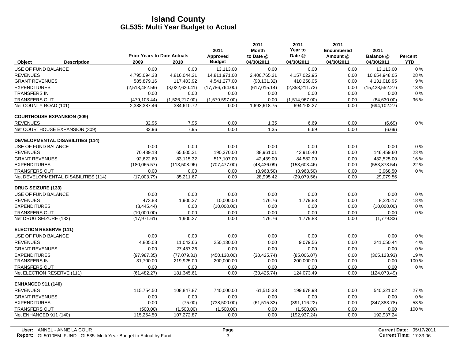|                                         |                                            |                | 2011                      | 2011<br><b>Month</b>    | 2011<br>Year to<br>Date @ | 2011<br><b>Encumbered</b> | 2011                    |                       |
|-----------------------------------------|--------------------------------------------|----------------|---------------------------|-------------------------|---------------------------|---------------------------|-------------------------|-----------------------|
| <b>Description</b><br><b>Object</b>     | <b>Prior Years to Date Actuals</b><br>2009 | 2010           | Approved<br><b>Budget</b> | to Date @<br>04/30/2011 | 04/30/2011                | Amount @<br>04/30/2011    | Balance @<br>04/30/2011 | Percent<br><b>YTD</b> |
| <b>USE OF FUND BALANCE</b>              | 0.00                                       | 0.00           | 13,113.00                 | 0.00                    | 0.00                      | 0.00                      | 13,113.00               | 0%                    |
| <b>REVENUES</b>                         | 4,795,094.33                               | 4,816,044.21   | 14,811,971.00             | 2,400,765.21            | 4,157,022.95              | 0.00                      | 10,654,948.05           | 28 %                  |
| <b>GRANT REVENUES</b>                   | 585,879.16                                 | 117,403.92     | 4,541,277.00              | (90, 131.32)            | 410,258.05                | 0.00                      | 4,131,018.95            | 9%                    |
| <b>EXPENDITURES</b>                     | (2,513,482.59)                             | (3.022.620.41) | (17,786,764.00)           | (617, 015, 14)          | (2,358,211.73)            | 0.00                      | (15, 428, 552.27)       | 13%                   |
| <b>TRANSFERS IN</b>                     | 0.00                                       | 0.00           | 0.00                      | 0.00                    | 0.00                      | 0.00                      | 0.00                    | $0\%$                 |
| <b>TRANSFERS OUT</b>                    | (479, 103.44)                              | (1,526,217.00) | (1,579,597.00)            | 0.00                    | (1,514,967.00)            | 0.00                      | (64, 630.00)            | 96 %                  |
| Net COUNTY ROAD (101)                   | 2,388,387.46                               | 384,610.72     | 0.00                      | 1,693,618.75            | 694,102.27                | 0.00                      | (694, 102.27)           |                       |
| <b>COURTHOUSE EXPANSION (309)</b>       |                                            |                |                           |                         |                           |                           |                         |                       |
| <b>REVENUES</b>                         | 32.96                                      | 7.95           | 0.00                      | 1.35                    | 6.69                      | 0.00                      | (6.69)                  | $0\%$                 |
| Net COURTHOUSE EXPANSION (309)          | 32.96                                      | 7.95           | 0.00                      | 1.35                    | 6.69                      | 0.00                      | (6.69)                  |                       |
| <b>DEVELOPMENTAL DISABILITIES (114)</b> |                                            |                |                           |                         |                           |                           |                         |                       |
| USE OF FUND BALANCE                     | 0.00                                       | 0.00           | 0.00                      | 0.00                    | 0.00                      | 0.00                      | 0.00                    | $0\%$                 |
| <b>REVENUES</b>                         | 70,439.18                                  | 65,605.31      | 190,370.00                | 38,961.01               | 43,910.40                 | 0.00                      | 146,459.60              | 23 %                  |
| <b>GRANT REVENUES</b>                   | 92.622.60                                  | 83,115.32      | 517,107.00                | 42,439.00               | 84,582.00                 | 0.00                      | 432,525.00              | 16 %                  |
| <b>EXPENDITURES</b>                     | (180, 065.57)                              | (113,508.96)   | (707, 477.00)             | (48, 436.09)            | (153,603.46)              | 0.00                      | (553, 873.54)           | 22 %                  |
| <b>TRANSFERS OUT</b>                    | 0.00                                       | 0.00           | 0.00                      | (3,968.50)              | (3,968.50)                | 0.00                      | 3,968.50                | $0\%$                 |
| Net DEVELOPMENTAL DISABILITIES (114)    | (17,003.79)                                | 35,211.67      | 0.00                      | 28,995.42               | (29,079.56)               | 0.00                      | 29,079.56               |                       |
| <b>DRUG SEIZURE (133)</b>               |                                            |                |                           |                         |                           |                           |                         |                       |
| USE OF FUND BALANCE                     | 0.00                                       | 0.00           | 0.00                      | 0.00                    | 0.00                      | 0.00                      | 0.00                    | $0\%$                 |
| <b>REVENUES</b>                         | 473.83                                     | 1,900.27       | 10,000.00                 | 176.76                  | 1,779.83                  | 0.00                      | 8,220.17                | 18%                   |
| <b>EXPENDITURES</b>                     | (8,445.44)                                 | 0.00           | (10,000.00)               | 0.00                    | 0.00                      | 0.00                      | (10,000.00)             | $0\ \%$               |
| <b>TRANSFERS OUT</b>                    | (10,000.00)                                | 0.00           | 0.00                      | 0.00                    | 0.00                      | 0.00                      | 0.00                    | 0%                    |
| Net DRUG SEIZURE (133)                  | (17, 971.61)                               | 1,900.27       | 0.00                      | 176.76                  | 1,779.83                  | 0.00                      | (1,779.83)              |                       |
| <b>ELECTION RESERVE (111)</b>           |                                            |                |                           |                         |                           |                           |                         |                       |
| USE OF FUND BALANCE                     | 0.00                                       | 0.00           | 0.00                      | 0.00                    | 0.00                      | 0.00                      | 0.00                    | $0\ \%$               |
| <b>REVENUES</b>                         | 4,805.08                                   | 11,042.66      | 250,130.00                | 0.00                    | 9,079.56                  | 0.00                      | 241,050.44              | 4 %                   |
| <b>GRANT REVENUES</b>                   | 0.00                                       | 27,457.26      | 0.00                      | 0.00                    | 0.00                      | 0.00                      | 0.00                    | $0\%$                 |
| <b>EXPENDITURES</b>                     | (97, 987, 35)                              | (77,079.31)    | (450, 130.00)             | (30, 425.74)            | (85,006.07)               | 0.00                      | (365, 123.93)           | 19%                   |
| <b>TRANSFERS IN</b>                     | 31,700.00                                  | 219,925.00     | 200,000.00                | 0.00                    | 200,000.00                | 0.00                      | 0.00                    | 100 %                 |
| <b>TRANSFERS OUT</b>                    | 0.00                                       | 0.00           | 0.00                      | 0.00                    | 0.00                      | 0.00                      | 0.00                    | $0\%$                 |
| Net ELECTION RESERVE (111)              | (61, 482.27)                               | 181,345.61     | 0.00                      | (30, 425.74)            | 124,073.49                | 0.00                      | (124, 073.49)           |                       |
| <b>ENHANCED 911 (140)</b>               |                                            |                |                           |                         |                           |                           |                         |                       |
| <b>REVENUES</b>                         | 115,754.50                                 | 108,847.87     | 740,000.00                | 61,515.33               | 199,678.98                | 0.00                      | 540,321.02              | 27 %                  |
| <b>GRANT REVENUES</b>                   | 0.00                                       | 0.00           | 0.00                      | 0.00                    | 0.00                      | 0.00                      | 0.00                    | $0\%$                 |
| <b>EXPENDITURES</b>                     | 0.00                                       | (75.00)        | (738, 500.00)             | (61, 515.33)            | (391, 116.22)             | 0.00                      | (347, 383.78)           | 53 %                  |
| <b>TRANSFERS OUT</b>                    | (500.00)                                   | (1.500.00)     | (1.500.00)                | 0.00                    | (1,500.00)                | 0.00                      | 0.00                    | 100 %                 |
| Net ENHANCED 911 (140)                  | 115,254.50                                 | 107,272.87     | 0.00                      | 0.00                    | (192, 937.24)             | 0.00                      | 192,937.24              |                       |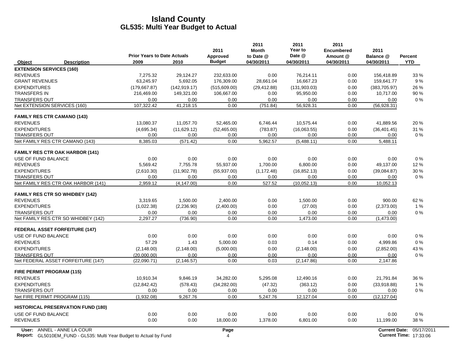|                                                                           | <b>Prior Years to Date Actuals</b> |               | 2011<br>Approved | 2011<br><b>Month</b><br>to Date @ | 2011<br>Year to<br>Date @ | 2011<br><b>Encumbered</b><br>Amount @ | 2011<br>Balance @    | <b>Percent</b>                |
|---------------------------------------------------------------------------|------------------------------------|---------------|------------------|-----------------------------------|---------------------------|---------------------------------------|----------------------|-------------------------------|
| Object<br><b>Description</b>                                              | 2009                               | 2010          | <b>Budget</b>    | 04/30/2011                        | 04/30/2011                | 04/30/2011                            | 04/30/2011           | <b>YTD</b>                    |
| <b>EXTENSION SERVICES (160)</b>                                           |                                    |               |                  |                                   |                           |                                       |                      |                               |
| <b>REVENUES</b>                                                           | 7,275.32                           | 29,124.27     | 232,633.00       | 0.00                              | 76,214.11                 | 0.00                                  | 156,418.89           | 33 %                          |
| <b>GRANT REVENUES</b>                                                     | 63,245.97                          | 5,692.05      | 176,309.00       | 28,661.04                         | 16,667.23                 | 0.00                                  | 159,641.77           | 9%                            |
| <b>EXPENDITURES</b>                                                       | (179, 667.87)                      | (142, 919.17) | (515,609.00)     | (29, 412.88)                      | (131, 903.03)             | 0.00                                  | (383, 705.97)        | 26 %                          |
| <b>TRANSFERS IN</b>                                                       | 216,469.00                         | 149,321.00    | 106,667.00       | 0.00                              | 95,950.00                 | 0.00                                  | 10,717.00            | 90 %                          |
| <b>TRANSFERS OUT</b>                                                      | 0.00                               | 0.00          | 0.00             | 0.00                              | 0.00                      | 0.00                                  | 0.00                 | 0%                            |
| Net EXTENSION SERVICES (160)                                              | 107,322.42                         | 41,218.15     | 0.00             | (751.84)                          | 56,928.31                 | 0.00                                  | (56, 928.31)         |                               |
| <b>FAMILY RES CTR CAMANO (143)</b>                                        |                                    |               |                  |                                   |                           |                                       |                      |                               |
| <b>REVENUES</b>                                                           | 13,080.37                          | 11,057.70     | 52,465.00        | 6,746.44                          | 10,575.44                 | 0.00                                  | 41,889.56            | 20%                           |
| <b>EXPENDITURES</b>                                                       | (4,695.34)                         | (11,629.12)   | (52, 465.00)     | (783.87)                          | (16,063.55)               | 0.00                                  | (36, 401.45)         | 31 %                          |
| <b>TRANSFERS OUT</b>                                                      | 0.00                               | 0.00          | 0.00             | 0.00                              | 0.00                      | 0.00                                  | 0.00                 | $0\%$                         |
| Net FAMILY RES CTR CAMANO (143)                                           | 8,385.03                           | (571.42)      | 0.00             | 5,962.57                          | (5,488.11)                | 0.00                                  | 5,488.11             |                               |
| <b>FAMILY RES CTR OAK HARBOR (141)</b>                                    |                                    |               |                  |                                   |                           |                                       |                      |                               |
| <b>USE OF FUND BALANCE</b>                                                | 0.00                               | 0.00          | 0.00             | 0.00                              | 0.00                      | 0.00                                  | 0.00                 | 0%                            |
| <b>REVENUES</b>                                                           | 5,569.42                           | 7,755.78      | 55,937.00        | 1,700.00                          | 6,800.00                  | 0.00                                  | 49,137.00            | 12%                           |
| <b>EXPENDITURES</b>                                                       | (2,610.30)                         | (11,902.78)   | (55, 937.00)     | (1, 172.48)                       | (16, 852.13)              | 0.00                                  | (39,084.87)          | 30 %                          |
| <b>TRANSFERS OUT</b>                                                      | 0.00                               | 0.00          | 0.00             | 0.00                              | 0.00                      | 0.00                                  | 0.00                 | 0%                            |
| Net FAMILY RES CTR OAK HARBOR (141)                                       | 2,959.12                           | (4, 147.00)   | 0.00             | 527.52                            | (10.052.13)               | 0.00                                  | 10,052.13            |                               |
| <b>FAMILY RES CTR SO WHIDBEY (142)</b>                                    |                                    |               |                  |                                   |                           |                                       |                      |                               |
| <b>REVENUES</b>                                                           | 3.319.65                           | 1.500.00      | 2.400.00         | 0.00                              | 1.500.00                  | 0.00                                  | 900.00               | 62%                           |
| <b>EXPENDITURES</b>                                                       | (1,022.38)                         | (2, 236.90)   | (2,400.00)       | 0.00                              | (27.00)                   | 0.00                                  | (2,373.00)           | 1%                            |
| <b>TRANSFERS OUT</b>                                                      | 0.00                               | 0.00          | 0.00             | 0.00                              | 0.00                      | 0.00                                  | 0.00                 | 0%                            |
| Net FAMILY RES CTR SO WHIDBEY (142)                                       | 2.297.27                           | (736.90)      | 0.00             | 0.00                              | 1,473.00                  | 0.00                                  | (1,473.00)           |                               |
| <b>FEDERAL ASSET FORFEITURE (147)</b>                                     |                                    |               |                  |                                   |                           |                                       |                      |                               |
| USE OF FUND BALANCE                                                       | 0.00                               | 0.00          | 0.00             | 0.00                              | 0.00                      | 0.00                                  | 0.00                 | $0\%$                         |
| <b>REVENUES</b>                                                           | 57.29                              | 1.43          | 5,000.00         | 0.03                              | 0.14                      | 0.00                                  | 4,999.86             | $0\%$                         |
| <b>EXPENDITURES</b>                                                       | (2, 148.00)                        | (2, 148.00)   | (5,000.00)       | 0.00                              | (2, 148.00)               | 0.00                                  | (2,852.00)           | 43 %                          |
| <b>TRANSFERS OUT</b>                                                      | (20,000.00)                        | 0.00          | 0.00             | 0.00                              | 0.00                      | 0.00                                  | 0.00                 | $0\%$                         |
| Net FEDERAL ASSET FORFEITURE (147)                                        | (22,090.71)                        | (2, 146.57)   | 0.00             | 0.03                              | (2, 147.86)               | 0.00                                  | 2,147.86             |                               |
| FIRE PERMIT PROGRAM (115)                                                 |                                    |               |                  |                                   |                           |                                       |                      |                               |
| <b>REVENUES</b>                                                           | 10,910.34                          | 9,846.19      | 34,282.00        | 5,295.08                          | 12,490.16                 | 0.00                                  | 21,791.84            | 36 %                          |
| <b>EXPENDITURES</b>                                                       | (12, 842.42)                       | (578.43)      | (34, 282.00)     | (47.32)                           | (363.12)                  | 0.00                                  | (33,918.88)          | 1%                            |
| <b>TRANSFERS OUT</b>                                                      | 0.00                               | 0.00          | 0.00             | 0.00                              | 0.00                      | 0.00                                  | 0.00                 | $0\%$                         |
| Net FIRE PERMIT PROGRAM (115)                                             | (1,932.08)                         | 9,267.76      | 0.00             | 5,247.76                          | 12,127.04                 | 0.00                                  | (12, 127.04)         |                               |
| <b>HISTORICAL PRESERVATION FUND (180)</b>                                 |                                    |               |                  |                                   |                           |                                       |                      |                               |
| <b>USE OF FUND BALANCE</b>                                                | 0.00                               | 0.00          | 0.00             | 0.00                              | 0.00                      | 0.00                                  | 0.00                 | 0%                            |
| <b>REVENUES</b>                                                           | 0.00                               | 0.00          | 18,000.00        | 1,378.00                          | 6,801.00                  | 0.00                                  | 11,199.00            | 38 %                          |
| User: ANNEL - ANNE LA COUR                                                |                                    |               | Page             |                                   |                           |                                       | <b>Current Date:</b> | 05/17/2011                    |
| <b>Report:</b> GL5010EM_FUND - GL535: Multi Year Budget to Actual by Fund |                                    |               | 4                |                                   |                           |                                       |                      | <b>Current Time: 17:33:06</b> |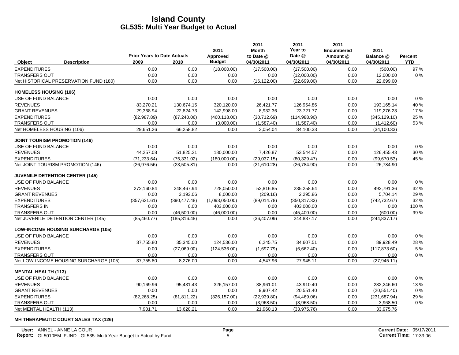|                               |                                           | <b>Prior Years to Date Actuals</b> |               | 2011                      | 2011<br><b>Month</b>    | 2011<br>Year to<br>Date @ | 2011<br><b>Encumbered</b> | 2011                    |                              |
|-------------------------------|-------------------------------------------|------------------------------------|---------------|---------------------------|-------------------------|---------------------------|---------------------------|-------------------------|------------------------------|
| Object                        | <b>Description</b>                        | 2009                               | 2010          | Approved<br><b>Budget</b> | to Date @<br>04/30/2011 | 04/30/2011                | Amount @<br>04/30/2011    | Balance @<br>04/30/2011 | <b>Percent</b><br><b>YTD</b> |
| <b>EXPENDITURES</b>           |                                           | 0.00                               | 0.00          | (18,000.00)               | (17,500.00)             | (17,500.00)               | 0.00                      | (500.00)                | 97 %                         |
| <b>TRANSFERS OUT</b>          |                                           | 0.00                               | 0.00          | 0.00                      | 0.00                    | (12,000.00)               | 0.00                      | 12,000.00               | 0%                           |
|                               | Net HISTORICAL PRESERVATION FUND (180)    | 0.00                               | 0.00          | 0.00                      | (16, 122.00)            | (22, 699.00)              | 0.00                      | 22,699.00               |                              |
| <b>HOMELESS HOUSING (106)</b> |                                           |                                    |               |                           |                         |                           |                           |                         |                              |
| USE OF FUND BALANCE           |                                           | 0.00                               | 0.00          | 0.00                      | 0.00                    | 0.00                      | 0.00                      | 0.00                    | 0%                           |
| <b>REVENUES</b>               |                                           | 83,270.21                          | 130,674.15    | 320,120.00                | 26,421.77               | 126,954.86                | 0.00                      | 193,165.14              | 40 %                         |
| <b>GRANT REVENUES</b>         |                                           | 29,368.94                          | 22,824.73     | 142,998.00                | 8,932.36                | 23,721.77                 | 0.00                      | 119,276.23              | 17%                          |
| <b>EXPENDITURES</b>           |                                           | (82,987.89)                        | (87, 240.06)  | (460, 118.00)             | (30,712.69)             | (114, 988.90)             | 0.00                      | (345, 129.10)           | 25 %                         |
| <b>TRANSFERS OUT</b>          |                                           | 0.00                               | 0.00          | (3,000.00)                | (1,587.40)              | (1,587.40)                | 0.00                      | (1,412.60)              | 53 %                         |
|                               | Net HOMELESS HOUSING (106)                | 29,651.26                          | 66,258.82     | 0.00                      | 3,054.04                | 34,100.33                 | 0.00                      | (34, 100.33)            |                              |
|                               | <b>JOINT TOURISM PROMOTION (146)</b>      |                                    |               |                           |                         |                           |                           |                         |                              |
| <b>USE OF FUND BALANCE</b>    |                                           | 0.00                               | 0.00          | 0.00                      | 0.00                    | 0.00                      | 0.00                      | 0.00                    | 0%                           |
| <b>REVENUES</b>               |                                           | 44.257.08                          | 51,825.21     | 180,000.00                | 7,426.87                | 53.544.57                 | 0.00                      | 126,455.43              | 30 %                         |
| <b>EXPENDITURES</b>           |                                           | (71, 233.64)                       | (75, 331.02)  | (180,000.00)              | (29.037.15)             | (80, 329.47)              | 0.00                      | (99,670.53)             | 45 %                         |
|                               | Net JOINT TOURISM PROMOTION (146)         | (26.976.56)                        | (23, 505.81)  | 0.00                      | (21,610.28)             | (26, 784.90)              | 0.00                      | 26,784.90               |                              |
|                               | <b>JUVENILE DETENTION CENTER (145)</b>    |                                    |               |                           |                         |                           |                           |                         |                              |
| USE OF FUND BALANCE           |                                           | 0.00                               | 0.00          | 0.00                      | 0.00                    | 0.00                      | 0.00                      | 0.00                    | 0%                           |
| <b>REVENUES</b>               |                                           | 272,160.84                         | 248,467.94    | 728,050.00                | 52,816.85               | 235,258.64                | 0.00                      | 492,791.36              | 32 %                         |
| <b>GRANT REVENUES</b>         |                                           | 0.00                               | 3,193.06      | 8,000.00                  | (209.16)                | 2,295.86                  | 0.00                      | 5,704.14                | 29 %                         |
| <b>EXPENDITURES</b>           |                                           | (357, 621.61)                      | (390, 477.48) | (1,093,050.00)            | (89,014.78)             | (350, 317.33)             | 0.00                      | (742, 732.67)           | 32 %                         |
| <b>TRANSFERS IN</b>           |                                           | 0.00                               | 0.00          | 403,000.00                | 0.00                    | 403,000.00                | 0.00                      | 0.00                    | 100 %                        |
| <b>TRANSFERS OUT</b>          |                                           | 0.00                               | (46,500.00)   | (46,000.00)               | 0.00                    | (45, 400.00)              | 0.00                      | (600.00)                | 99%                          |
|                               | Net JUVENILE DETENTION CENTER (145)       | (85, 460.77)                       | (185, 316.48) | 0.00                      | (36, 407.09)            | 244,837.17                | 0.00                      | (244, 837.17)           |                              |
|                               | <b>LOW-INCOME HOUSING SURCHARGE (105)</b> |                                    |               |                           |                         |                           |                           |                         |                              |
| USE OF FUND BALANCE           |                                           | 0.00                               | 0.00          | 0.00                      | 0.00                    | 0.00                      | 0.00                      | 0.00                    | 0%                           |
| <b>REVENUES</b>               |                                           | 37,755.80                          | 35,345.00     | 124,536.00                | 6,245.75                | 34,607.51                 | 0.00                      | 89,928.49               | 28%                          |
| <b>EXPENDITURES</b>           |                                           | 0.00                               | (27,069.00)   | (124, 536.00)             | (1,697.79)              | (6,662.40)                | 0.00                      | (117, 873.60)           | 5 %                          |
| <b>TRANSFERS OUT</b>          |                                           | 0.00                               | 0.00          | 0.00                      | 0.00                    | 0.00                      | 0.00                      | 0.00                    | 0%                           |
|                               | Net LOW-INCOME HOUSING SURCHARGE (105)    | 37,755.80                          | 8,276.00      | 0.00                      | 4,547.96                | 27,945.11                 | 0.00                      | (27, 945.11)            |                              |
| <b>MENTAL HEALTH (113)</b>    |                                           |                                    |               |                           |                         |                           |                           |                         |                              |
| USE OF FUND BALANCE           |                                           | 0.00                               | 0.00          | 0.00                      | 0.00                    | 0.00                      | 0.00                      | 0.00                    | 0%                           |
| <b>REVENUES</b>               |                                           | 90,169.96                          | 95,431.43     | 326,157.00                | 38,961.01               | 43,910.40                 | 0.00                      | 282,246.60              | 13%                          |
| <b>GRANT REVENUES</b>         |                                           | 0.00                               | 0.00          | 0.00                      | 9,907.42                | 20,551.40                 | 0.00                      | (20, 551.40)            | 0%                           |
| <b>EXPENDITURES</b>           |                                           | (82, 268.25)                       | (81, 811.22)  | (326, 157.00)             | (22,939.80)             | (94, 469.06)              | 0.00                      | (231, 687.94)           | 29 %                         |
| <b>TRANSFERS OUT</b>          |                                           | 0.00                               | 0.00          | 0.00                      | (3,968.50)              | (3,968.50)                | 0.00                      | 3,968.50                | 0%                           |
| Net MENTAL HEALTH (113)       |                                           | 7,901.71                           | 13,620.21     | 0.00                      | 21,960.13               | (33,975.76)               | 0.00                      | 33,975.76               |                              |

**MH THERAPEUTIC COURT SALES TAX (126)**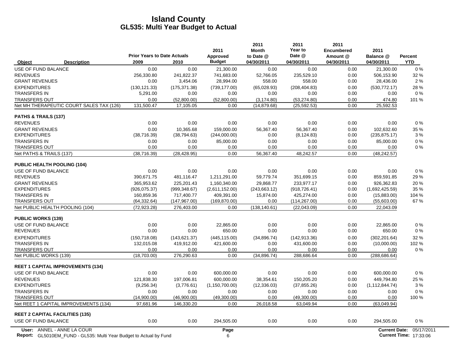|                                          | <b>Prior Years to Date Actuals</b> |               | 2011                      | 2011<br><b>Month</b>    | 2011<br>Year to<br>Date @ | 2011<br><b>Encumbered</b> | 2011                    |                       |
|------------------------------------------|------------------------------------|---------------|---------------------------|-------------------------|---------------------------|---------------------------|-------------------------|-----------------------|
| <b>Description</b><br>Object             | 2009                               | 2010          | Approved<br><b>Budget</b> | to Date @<br>04/30/2011 | 04/30/2011                | Amount @<br>04/30/2011    | Balance @<br>04/30/2011 | Percent<br><b>YTD</b> |
| USE OF FUND BALANCE                      | 0.00                               | 0.00          | 21,300.00                 | 0.00                    | 0.00                      | 0.00                      | 21,300.00               | 0%                    |
| <b>REVENUES</b>                          | 256.330.80                         | 241,822.37    | 741,683.00                | 52,766.05               | 235,529.10                | 0.00                      | 506,153.90              | 32 %                  |
| <b>GRANT REVENUES</b>                    | 0.00                               | 3,454.06      | 28,994.00                 | 558.00                  | 558.00                    | 0.00                      | 28,436.00               | 2%                    |
| <b>EXPENDITURES</b>                      | (130, 121.33)                      | (175, 371.38) | (739, 177.00)             | (65,028.93)             | (208, 404.83)             | 0.00                      | (530, 772.17)           | 28 %                  |
| <b>TRANSFERS IN</b>                      | 5,291.00                           | 0.00          | 0.00                      | 0.00                    | 0.00                      | 0.00                      | 0.00                    | $0\%$                 |
| <b>TRANSFERS OUT</b>                     | 0.00                               | (52,800.00)   | (52.800.00)               | (3, 174.80)             | (53, 274.80)              | 0.00                      | 474.80                  | 101 %                 |
| Net MH THERAPEUTIC COURT SALES TAX (126) | 131,500.47                         | 17,105.05     | 0.00                      | (14, 879.68)            | (25, 592.53)              | 0.00                      | 25,592.53               |                       |
| <b>PATHS &amp; TRAILS (137)</b>          |                                    |               |                           |                         |                           |                           |                         |                       |
| <b>REVENUES</b>                          | 0.00                               | 0.00          | 0.00                      | 0.00                    | 0.00                      | 0.00                      | 0.00                    | 0%                    |
| <b>GRANT REVENUES</b>                    | 0.00                               | 10.365.68     | 159.000.00                | 56.367.40               | 56.367.40                 | 0.00                      | 102.632.60              | 35 %                  |
| <b>EXPENDITURES</b>                      | (38, 716.39)                       | (38, 794.63)  | (244,000.00)              | 0.00                    | (8, 124.83)               | 0.00                      | (235, 875.17)           | 3%                    |
| <b>TRANSFERS IN</b>                      | 0.00                               | 0.00          | 85,000.00                 | 0.00                    | 0.00                      | 0.00                      | 85,000.00               | 0%                    |
| <b>TRANSFERS OUT</b>                     | 0.00                               | 0.00          | 0.00                      | 0.00                    | 0.00                      | 0.00                      | 0.00                    | 0%                    |
| Net PATHS & TRAILS (137)                 | (38, 716.39)                       | (28, 428.95)  | 0.00                      | 56,367.40               | 48,242.57                 | 0.00                      | (48, 242.57)            |                       |
| <b>PUBLIC HEALTH POOLING (104)</b>       |                                    |               |                           |                         |                           |                           |                         |                       |
| USE OF FUND BALANCE                      | 0.00                               | 0.00          | 0.00                      | 0.00                    | 0.00                      | 0.00                      | 0.00                    | 0%                    |
| <b>REVENUES</b>                          | 390,671.75                         | 481,116.47    | 1,211,291.00              | 59,779.74               | 351,699.15                | 0.00                      | 859,591.85              | 29 %                  |
| <b>GRANT REVENUES</b>                    | 365,953.62                         | 225,201.43    | 1,160,340.00              | 29,868.77               | 233,977.17                | 0.00                      | 926,362.83              | 20%                   |
| <b>EXPENDITURES</b>                      | (926, 075.37)                      | (999, 348.67) | (2,611,152.00)            | (243, 663.12)           | (918, 726.41)             | 0.00                      | (1,692,425.59)          | 35 %                  |
| <b>TRANSFERS IN</b>                      | 160.859.36                         | 717.400.77    | 409.391.00                | 15.874.00               | 425.274.00                | 0.00                      | (15,883.00)             | 104 %                 |
| <b>TRANSFERS OUT</b>                     | (64, 332.64)                       | (147, 967.00) | (169, 870.00)             | 0.00                    | (114, 267.00)             | 0.00                      | (55,603.00)             | 67%                   |
| Net PUBLIC HEALTH POOLING (104)          | (72, 923.28)                       | 276,403.00    | 0.00                      | (138, 140.61)           | (22,043.09)               | 0.00                      | 22,043.09               |                       |
| <b>PUBLIC WORKS (139)</b>                |                                    |               |                           |                         |                           |                           |                         |                       |
| USE OF FUND BALANCE                      | 0.00                               | 0.00          | 22.865.00                 | 0.00                    | 0.00                      | 0.00                      | 22.865.00               | $0\%$                 |
| <b>REVENUES</b>                          | 0.00                               | 0.00          | 650.00                    | 0.00                    | 0.00                      | 0.00                      | 650.00                  | 0%                    |
| <b>EXPENDITURES</b>                      | (150, 718.08)                      | (143, 621.37) | (445, 115.00)             | (34,896.74)             | (142, 913.36)             | 0.00                      | (302, 201.64)           | 32 %                  |
| <b>TRANSFERS IN</b>                      | 132,015.08                         | 419,912.00    | 421,600.00                | 0.00                    | 431,600.00                | 0.00                      | (10,000.00)             | 102 %                 |
| <b>TRANSFERS OUT</b>                     | 0.00                               | 0.00          | 0.00                      | 0.00                    | 0.00                      | 0.00                      | 0.00                    | 0%                    |
| Net PUBLIC WORKS (139)                   | (18,703.00)                        | 276,290.63    | 0.00                      | (34, 896.74)            | 288,686.64                | 0.00                      | (288, 686.64)           |                       |
| <b>REET 1 CAPITAL IMPROVEMENTS (134)</b> |                                    |               |                           |                         |                           |                           |                         |                       |
| USE OF FUND BALANCE                      | 0.00                               | 0.00          | 600,000.00                | 0.00                    | 0.00                      | 0.00                      | 600,000.00              | 0%                    |
| <b>REVENUES</b>                          | 121,838.30                         | 197,006.81    | 600,000.00                | 38,354.61               | 150,205.20                | 0.00                      | 449,794.80              | 25 %                  |
| <b>EXPENDITURES</b>                      | (9,256.34)                         | (3,776.61)    | (1, 150, 700.00)          | (12, 336.03)            | (37, 855.26)              | 0.00                      | (1, 112, 844.74)        | 3%                    |
| <b>TRANSFERS IN</b>                      | 0.00                               | 0.00          | 0.00                      | 0.00                    | 0.00                      | 0.00                      | 0.00                    | 0%                    |
| <b>TRANSFERS OUT</b>                     | (14,900.00)                        | (46,900.00)   | (49,300.00)               | 0.00                    | (49,300.00)               | 0.00                      | 0.00                    | 100 %                 |
| Net REET 1 CAPITAL IMPROVEMENTS (134)    | 97.681.96                          | 146.330.20    | 0.00                      | 26.018.58               | 63.049.94                 | 0.00                      | (63,049.94)             |                       |
| <b>REET 2 CAPITAL FACILITIES (135)</b>   |                                    |               |                           |                         |                           |                           |                         |                       |
| USE OF FUND BALANCE                      | 0.00                               | 0.00          | 294,505.00                | 0.00                    | 0.00                      | 0.00                      | 294,505.00              | 0%                    |
| User: ANNEL - ANNE LA COUR               |                                    |               | Page                      |                         |                           |                           | <b>Current Date:</b>    | 05/17/2011            |

**Report:** 6 **Current Time:** GL5010EM\_FUND - GL535: Multi Year Budget to Actual by Fund 17:03:06 18:06 19:07:08:06 17:33:06 17:33:06 17:33:06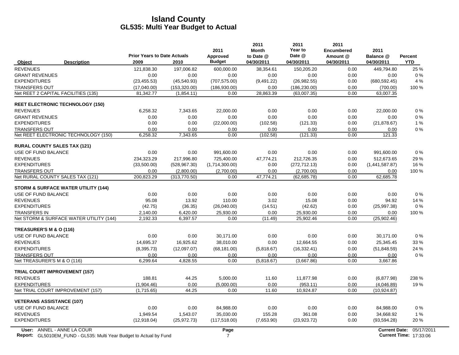|                                                |                                    |               |                  | 2011                      | 2011<br>Year to | 2011                          |                   |            |
|------------------------------------------------|------------------------------------|---------------|------------------|---------------------------|-----------------|-------------------------------|-------------------|------------|
|                                                | <b>Prior Years to Date Actuals</b> |               | 2011<br>Approved | <b>Month</b><br>to Date @ | Date @          | <b>Encumbered</b><br>Amount @ | 2011<br>Balance @ | Percent    |
| Object<br><b>Description</b>                   | 2009                               | 2010          | <b>Budget</b>    | 04/30/2011                | 04/30/2011      | 04/30/2011                    | 04/30/2011        | <b>YTD</b> |
| <b>REVENUES</b>                                | 121,838.30                         | 197,006.82    | 600,000.00       | 38,354.61                 | 150,205.20      | 0.00                          | 449,794.80        | 25 %       |
| <b>GRANT REVENUES</b>                          | 0.00                               | 0.00          | 0.00             | 0.00                      | 0.00            | 0.00                          | 0.00              | 0%         |
| <b>EXPENDITURES</b>                            | (23, 455.53)                       | (45,540.93)   | (707, 575.00)    | (9,491.22)                | (26, 982.55)    | 0.00                          | (680, 592.45)     | 4 %        |
| <b>TRANSFERS OUT</b>                           | (17,040.00)                        | (153, 320.00) | (186, 930.00)    | 0.00                      | (186, 230.00)   | 0.00                          | (700.00)          | 100 %      |
| Net REET 2 CAPITAL FACILITIES (135)            | 81,342.77                          | (1,854.11)    | 0.00             | 28,863.39                 | (63,007.35)     | 0.00                          | 63,007.35         |            |
| <b>REET ELECTRONIC TECHNOLOGY (150)</b>        |                                    |               |                  |                           |                 |                               |                   |            |
| <b>REVENUES</b>                                | 6,258.32                           | 7,343.65      | 22,000.00        | 0.00                      | 0.00            | 0.00                          | 22,000.00         | $0\%$      |
| <b>GRANT REVENUES</b>                          | 0.00                               | 0.00          | 0.00             | 0.00                      | 0.00            | 0.00                          | 0.00              | 0%         |
| <b>EXPENDITURES</b>                            | 0.00                               | 0.00          | (22,000.00)      | (102.58)                  | (121.33)        | 0.00                          | (21, 878.67)      | 1%         |
| <b>TRANSFERS OUT</b>                           | 0.00                               | 0.00          | 0.00             | 0.00                      | 0.00            | 0.00                          | 0.00              | 0%         |
| Net REET ELECTRONIC TECHNOLOGY (150)           | 6,258.32                           | 7,343.65      | 0.00             | (102.58)                  | (121.33)        | 0.00                          | 121.33            |            |
| <b>RURAL COUNTY SALES TAX (121)</b>            |                                    |               |                  |                           |                 |                               |                   |            |
| USE OF FUND BALANCE                            | 0.00                               | 0.00          | 991,600.00       | 0.00                      | 0.00            | 0.00                          | 991,600.00        | $0\%$      |
| <b>REVENUES</b>                                | 234,323.29                         | 217,996.80    | 725,400.00       | 47,774.21                 | 212,726.35      | 0.00                          | 512,673.65        | 29 %       |
| <b>EXPENDITURES</b>                            | (33,500.00)                        | (528, 967.30) | (1,714,300.00)   | 0.00                      | (272, 712.13)   | 0.00                          | (1,441,587.87)    | 16 %       |
| <b>TRANSFERS OUT</b>                           | 0.00                               | (2,800.00)    | (2,700.00)       | 0.00                      | (2,700.00)      | 0.00                          | 0.00              | 100 %      |
| Net RURAL COUNTY SALES TAX (121)               | 200,823.29                         | (313, 770.50) | 0.00             | 47,774.21                 | (62, 685.78)    | 0.00                          | 62,685.78         |            |
| <b>STORM &amp; SURFACE WATER UTILITY (144)</b> |                                    |               |                  |                           |                 |                               |                   |            |
| USE OF FUND BALANCE                            | 0.00                               | 0.00          | 0.00             | 0.00                      | 0.00            | 0.00                          | 0.00              | $0\%$      |
| <b>REVENUES</b>                                | 95.08                              | 13.92         | 110.00           | 3.02                      | 15.08           | 0.00                          | 94.92             | 14 %       |
| <b>EXPENDITURES</b>                            | (42.75)                            | (36.35)       | (26,040.00)      | (14.51)                   | (42.62)         | 0.00                          | (25,997.38)       | 0%         |
| <b>TRANSFERS IN</b>                            | 2,140.00                           | 6,420.00      | 25,930.00        | 0.00                      | 25,930.00       | 0.00                          | 0.00              | 100 %      |
| Net STORM & SURFACE WATER UTILITY (144)        | 2,192.33                           | 6,397.57      | 0.00             | (11.49)                   | 25,902.46       | 0.00                          | (25,902.46)       |            |
| TREASURER'S M & O (116)                        |                                    |               |                  |                           |                 |                               |                   |            |
| USE OF FUND BALANCE                            | 0.00                               | 0.00          | 30,171.00        | 0.00                      | 0.00            | 0.00                          | 30,171.00         | $0\%$      |
| <b>REVENUES</b>                                | 14,695.37                          | 16,925.62     | 38,010.00        | 0.00                      | 12,664.55       | 0.00                          | 25,345.45         | 33 %       |
| <b>EXPENDITURES</b>                            | (8,395.73)                         | (12,097.07)   | (68, 181.00)     | (5,818.67)                | (16, 332.41)    | 0.00                          | (51, 848.59)      | 24 %       |
| <b>TRANSFERS OUT</b>                           | 0.00                               | 0.00          | 0.00             | 0.00                      | 0.00            | 0.00                          | 0.00              | $0\%$      |
| Net TREASURER'S M & O (116)                    | 6,299.64                           | 4,828.55      | 0.00             | (5,818.67)                | (3,667.86)      | 0.00                          | 3,667.86          |            |
| <b>TRIAL COURT IMPROVEMENT (157)</b>           |                                    |               |                  |                           |                 |                               |                   |            |
| <b>REVENUES</b>                                | 188.81                             | 44.25         | 5,000.00         | 11.60                     | 11,877.98       | 0.00                          | (6,877.98)        | 238 %      |
| <b>EXPENDITURES</b>                            | (1,904.46)                         | 0.00          | (5.000.00)       | 0.00                      | (953.11)        | 0.00                          | (4,046.89)        | 19%        |
| Net TRIAL COURT IMPROVEMENT (157)              | (1,715.65)                         | 44.25         | 0.00             | 11.60                     | 10,924.87       | 0.00                          | (10, 924.87)      |            |
| <b>VETERANS ASSISTANCE (107)</b>               |                                    |               |                  |                           |                 |                               |                   |            |
| USE OF FUND BALANCE                            | 0.00                               | 0.00          | 84,988.00        | 0.00                      | 0.00            | 0.00                          | 84,988.00         | $0\%$      |
| <b>REVENUES</b>                                | 1.949.54                           | 1.543.07      | 35.030.00        | 155.28                    | 361.08          | 0.00                          | 34.668.92         | 1%         |
| <b>EXPENDITURES</b>                            | (12,918.04)                        | (25, 972.73)  | (117,518.00)     | (7,653.90)                | (23, 923.72)    | 0.00                          | (93, 594.28)      | 20%        |
|                                                |                                    |               |                  |                           |                 |                               |                   |            |

**Report:** GL5010EM\_FUND - GL535: Multi Year Budget to Actual by Fund 17:03:06 17:03:06 17:03:06 17:03:06 17:03:06 **User:** ANNEL - ANNE LA COUR

 $\overline{\phantom{a}}$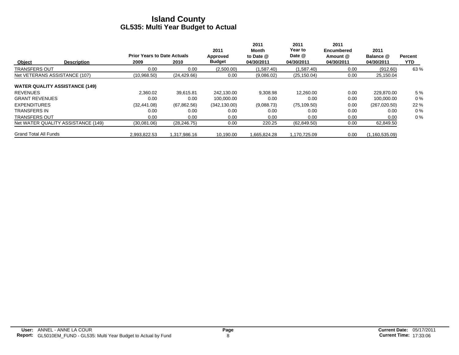|                               |                                       |                                            |              | 2011                      | 2011<br>Month           | 2011<br><b>Year to</b> | 2011<br><b>Encumbered</b> | 2011                    |                 |
|-------------------------------|---------------------------------------|--------------------------------------------|--------------|---------------------------|-------------------------|------------------------|---------------------------|-------------------------|-----------------|
| Object                        | <b>Description</b>                    | <b>Prior Years to Date Actuals</b><br>2009 | 2010         | Approved<br><b>Budget</b> | to Date @<br>04/30/2011 | Date @<br>04/30/2011   | Amount @<br>04/30/2011    | Balance @<br>04/30/2011 | Percent<br>YTD. |
| <b>TRANSFERS OUT</b>          |                                       | 0.00                                       | 0.00         | (2,500.00)                | (1,587.40)              | (1,587.40)             | 0.00                      | (912.60)                | 63 %            |
| Net VETERANS ASSISTANCE (107) |                                       | (10,968.50)                                | (24, 429.66) | 0.00                      | (9,086.02)              | (25, 150.04)           | 0.00                      | 25,150.04               |                 |
|                               | <b>WATER QUALITY ASSISTANCE (149)</b> |                                            |              |                           |                         |                        |                           |                         |                 |
| <b>REVENUES</b>               |                                       | 2.360.02                                   | 39,615.81    | 242.130.00                | 9.308.98                | 12.260.00              | 0.00                      | 229,870.00              | 5 %             |
| <b>GRANT REVENUES</b>         |                                       | 0.00                                       | 0.00         | 100,000.00                | 0.00                    | 0.00                   | 0.00                      | 100,000.00              | $0\%$           |
| <b>EXPENDITURES</b>           |                                       | (32, 441.08)                               | (67, 862.56) | (342, 130.00)             | (9,088.73)              | (75, 109.50)           | 0.00                      | (267,020.50)            | 22 %            |
| <b>TRANSFERS IN</b>           |                                       | 0.00                                       | 0.00         | 0.00                      | 0.00                    | 0.00                   | 0.00                      | 0.00                    | $0\%$           |
| <b>TRANSFERS OUT</b>          |                                       | 0.00                                       | 0.00         | 0.00                      | 0.00                    | 0.00                   | 0.00                      | 0.00                    | $0\%$           |
|                               | Net WATER QUALITY ASSISTANCE (149)    | (30,081.06)                                | (28, 246.75) | 0.00                      | 220.25                  | (62, 849.50)           | 0.00                      | 62,849.50               |                 |
| <b>Grand Total All Funds</b>  |                                       | 2.993.822.53                               | 1.317.986.16 | 10.190.00                 | 1,665,824.28            | 1,170,725.09           | 0.00                      | (1, 160, 535.09)        |                 |